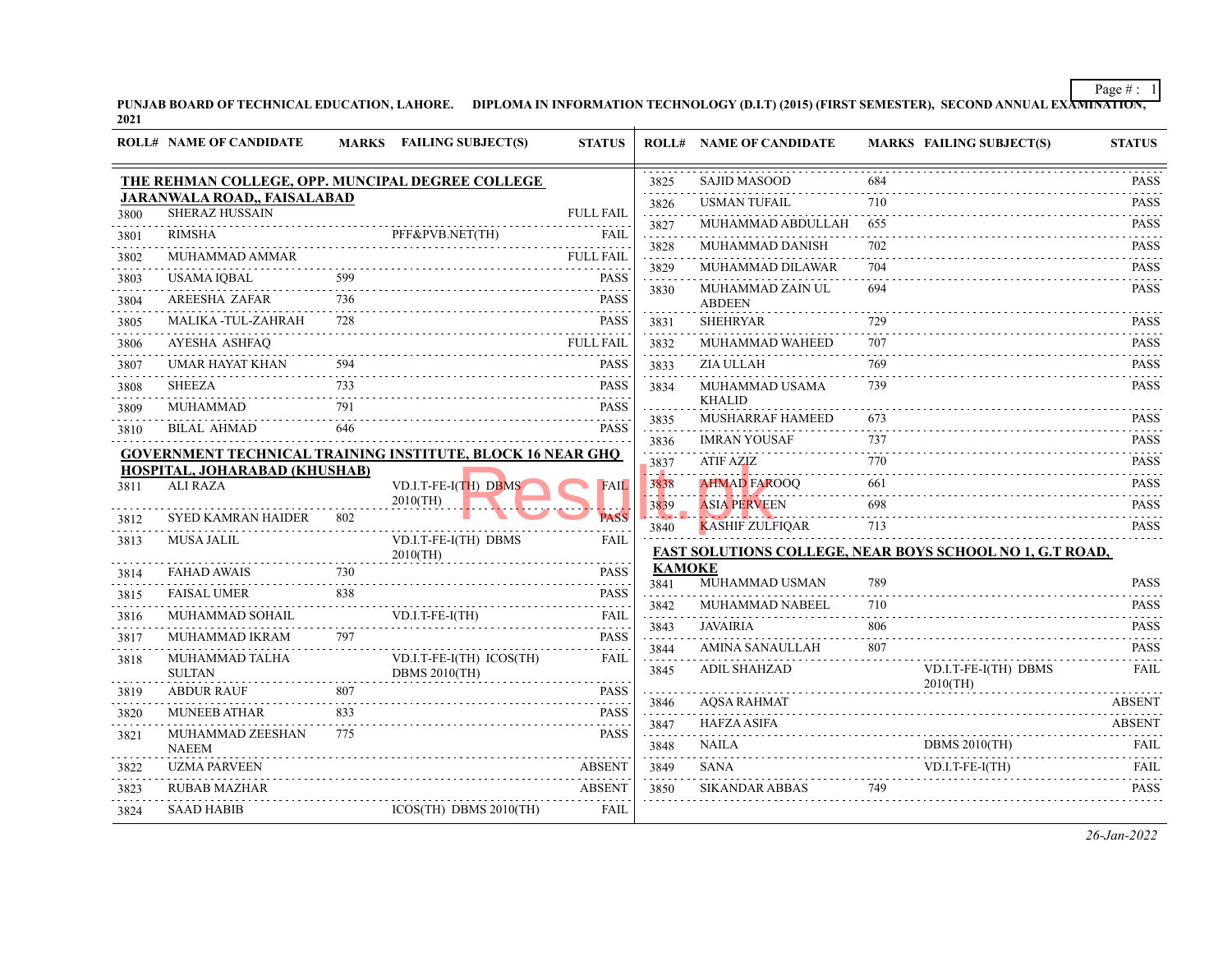PUNJAB BOARD OF TECHNICAL EDUCATION, LAHORE. DIPLOMA IN INFORMATION TECHNOLOGY (D.I.T) (2015) (FIRST SEMESTER), SECOND ANNUAL EXA<del>MINATION,</del><br>2021

|      | <b>ROLL# NAME OF CANDIDATE</b>                   |     | MARKS FAILING SUBJECT(S)                                          | <b>STATUS</b>                |                                               | <b>ROLL# NAME OF CANDIDATE</b>  | <b>MARKS FAILING SUBJECT(S)</b>                                 | <b>STATUS</b>                          |
|------|--------------------------------------------------|-----|-------------------------------------------------------------------|------------------------------|-----------------------------------------------|---------------------------------|-----------------------------------------------------------------|----------------------------------------|
|      | THE REHMAN COLLEGE, OPP. MUNCIPAL DEGREE COLLEGE |     |                                                                   |                              | 3825                                          | <b>SAJID MASOOD</b>             | 684                                                             | <b>PASS</b>                            |
|      | JARANWALA ROAD,, FAISALABAD                      |     |                                                                   |                              | .<br>3826                                     | <b>USMAN TUFAIL</b>             | 710                                                             | .<br><b>PASS</b>                       |
| 3800 | <b>SHERAZ HUSSAIN</b>                            |     |                                                                   | <b>FULL FAIL</b>             | 3827                                          | MUHAMMAD ABDULLAH               | 655                                                             | <b>PASS</b>                            |
| 3801 | <b>RIMSHA</b>                                    |     | PFF&PVB.NET(TH)                                                   | <b>FAIL</b>                  | 3828                                          | MUHAMMAD DANISH                 | 702                                                             | <b>PASS</b>                            |
| 3802 | MUHAMMAD AMMAR                                   |     |                                                                   | <b>FULL FAIL</b>             | .<br>3829                                     | MUHAMMAD DILAWAR                | .<br>704                                                        | .<br><b>PASS</b>                       |
| 3803 | <b>USAMA IQBAL</b>                               | 599 |                                                                   | <b>PASS</b><br>.             | 3830                                          | MUHAMMAD ZAIN UL                | 694                                                             | <b>PASS</b>                            |
| 3804 | <b>AREESHA ZAFAR</b>                             | 736 |                                                                   | <b>PASS</b>                  |                                               | <b>ABDEEN</b>                   |                                                                 |                                        |
| 3805 | MALIKA -TUL-ZAHRAH                               | 728 |                                                                   | <b>PASS</b>                  | 3831                                          | <b>SHEHRYAR</b>                 | 729<br>.                                                        | <b>PASS</b><br>.                       |
| 3806 | <b>AYESHA ASHFAQ</b>                             |     |                                                                   | <b>FULL FAIL</b>             | 3832                                          | MUHAMMAD WAHEED                 | 707                                                             | <b>PASS</b>                            |
| 3807 | UMAR HAYAT KHAN                                  | 594 |                                                                   | <b>PASS</b>                  | 3833                                          | ZIA ULLAH                       | 769                                                             | <b>PASS</b>                            |
| 3808 | <b>SHEEZA</b>                                    | 733 |                                                                   | <b>PASS</b>                  | 3834                                          | MUHAMMAD USAMA<br><b>KHALID</b> | 739                                                             | <b>PASS</b>                            |
| 3809 | MUHAMMAD                                         | 791 |                                                                   | <b>PASS</b><br>.             | 3835                                          | MUSHARRAF HAMEED                | 673                                                             | <b>PASS</b>                            |
| 3810 | <b>BILAL AHMAD</b>                               | 646 |                                                                   | <b>PASS</b>                  | .<br>3836                                     | <b>IMRAN YOUSAF</b>             | 737                                                             | <b>PASS</b>                            |
|      |                                                  |     | <b>GOVERNMENT TECHNICAL TRAINING INSTITUTE, BLOCK 16 NEAR GHQ</b> |                              | .<br>3837                                     | <b>ATIF AZIZ</b>                | 770                                                             | .<br><b>PASS</b>                       |
| 3811 | HOSPITAL, JOHARABAD (KHUSHAB)<br><b>ALI RAZA</b> |     | VD.I.T-FE-I(TH) DBMS                                              | <b>FAIL</b>                  | المناوب<br>3838                               | <b>AHMAD FAROOQ</b>             | 661                                                             | .<br><b>PASS</b>                       |
|      |                                                  |     | $2010$ (TH)                                                       |                              | 3839                                          | <b>ASIA PERVEEN</b>             | 698                                                             | <b>PASS</b>                            |
| 3812 | <b>SYED KAMRAN HAIDER</b>                        | 802 |                                                                   | <b>PASS</b>                  | $\mathcal{L}$ . The set $\mathcal{L}$<br>3840 | <b>KASHIF ZULFIQAR</b>          | a dia dia<br>713                                                | .<br><b>PASS</b>                       |
| 3813 | <b>MUSA JALIL</b>                                |     | VD.I.T-FE-I(TH) DBMS                                              | <b>FAIL</b>                  |                                               |                                 | <b>FAST SOLUTIONS COLLEGE, NEAR BOYS SCHOOL NO 1, G.T ROAD,</b> |                                        |
| 3814 | <b>FAHAD AWAIS</b>                               | 730 | 2010(TH)                                                          | <b>PASS</b>                  | <b>KAMOKE</b>                                 |                                 |                                                                 |                                        |
|      |                                                  | 838 |                                                                   | .<br><b>PASS</b>             | 3841                                          | MUHAMMAD USMAN                  | 789                                                             | <b>PASS</b>                            |
| 3815 | <b>FAISAL UMER</b><br>MUHAMMAD SOHAIL            | .   | VD.I.T-FE-I(TH)                                                   | $- - - - - -$<br><b>FAIL</b> | 3842                                          | MUHAMMAD NABEEL                 | 710                                                             | <b>PASS</b>                            |
| 3816 |                                                  |     |                                                                   | .<br><b>PASS</b>             | .<br>3843                                     | <b>JAVAIRIA</b>                 | 806                                                             | .<br><b>PASS</b>                       |
| 3817 | MUHAMMAD IKRAM                                   | 797 |                                                                   |                              | 3844                                          | AMINA SANAULLAH                 | a a a a<br>807                                                  | <b>PASS</b>                            |
| 3818 | MUHAMMAD TALHA<br><b>SULTAN</b>                  |     | VD.I.T-FE-I(TH) ICOS(TH)<br><b>DBMS 2010(TH)</b>                  | FAIL                         | .<br>3845                                     | <b>ADIL SHAHZAD</b>             | VD.I.T-FE-I(TH) DBMS                                            | <b>FAIL</b>                            |
| 3819 | <b>ABDUR RAUF</b>                                | 807 |                                                                   | <b>PASS</b>                  | .                                             |                                 | $2010$ (TH)                                                     |                                        |
| 3820 | <b>MUNEEB ATHAR</b>                              | 833 |                                                                   | .<br><b>PASS</b>             | 3846                                          | <b>AQSA RAHMAT</b>              |                                                                 | <b>ABSENT</b>                          |
| 3821 | MUHAMMAD ZEESHAN                                 | 775 |                                                                   | <b>PASS</b>                  | 3847<br>د د د د د                             | <b>HAFZA ASIFA</b>              |                                                                 | <b>ABSENT</b>                          |
|      | <b>NAEEM</b>                                     |     |                                                                   |                              | 3848                                          | <b>NAILA</b>                    | <b>DBMS 2010(TH)</b>                                            | <b>FAIL</b>                            |
| 3822 | <b>UZMA PARVEEN</b>                              |     |                                                                   | <b>ABSENT</b>                | 3849                                          | <b>SANA</b>                     | VD.I.T-FE-I(TH)                                                 | FAII.<br>$\omega$ is a set of $\omega$ |
| 3823 | <b>RUBAB MAZHAR</b>                              |     |                                                                   | <b>ABSENT</b>                | 3850                                          | <b>SIKANDAR ABBAS</b>           | 749                                                             | <b>PASS</b>                            |
| 3824 | <b>SAAD HABIB</b>                                |     | $ICOS(TH)$ DBMS $2010(TH)$                                        | FAIL                         |                                               |                                 |                                                                 |                                        |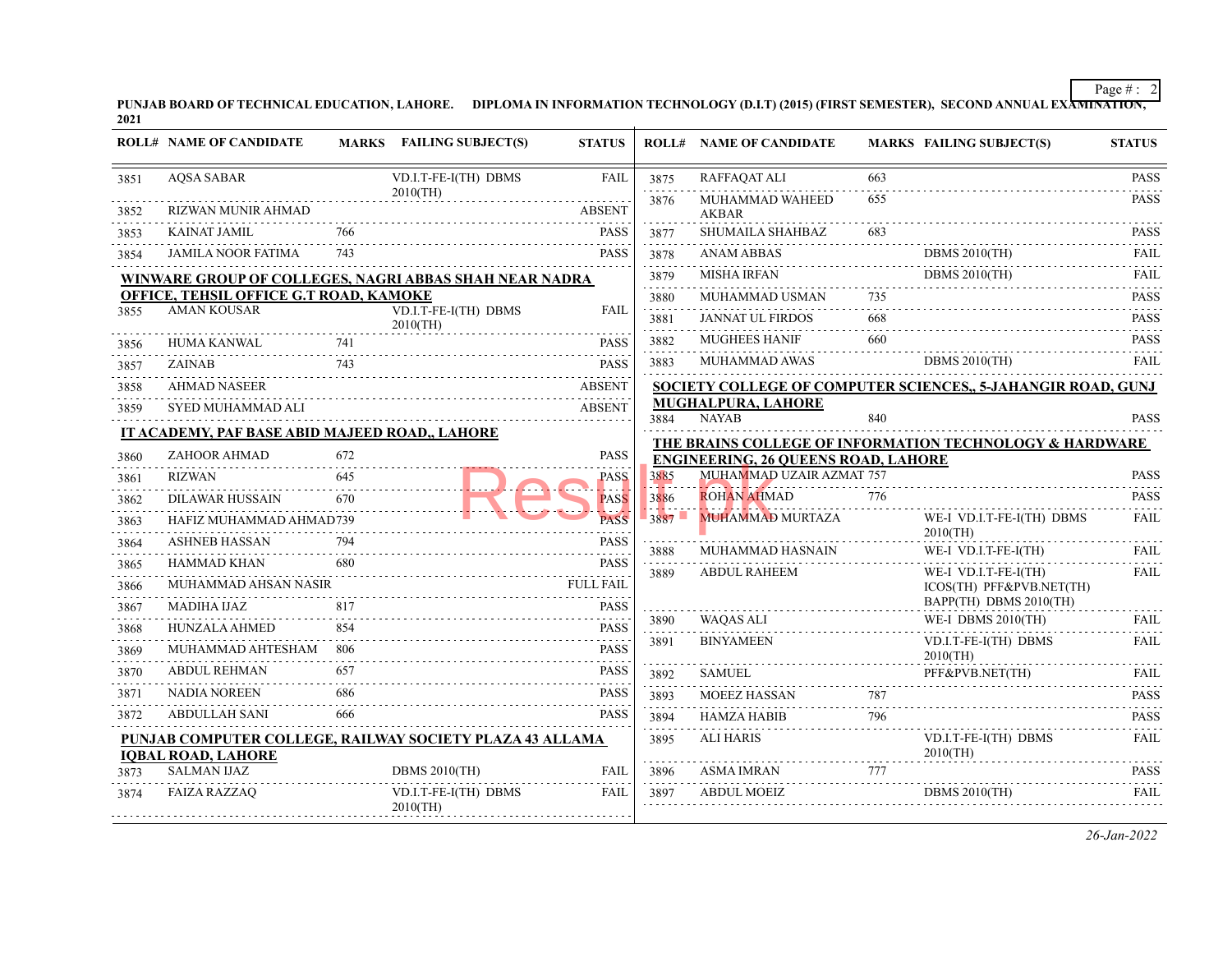PUNJAB BOARD OF TECHNICAL EDUCATION, LAHORE. DIPLOMA IN INFORMATION TECHNOLOGY (D.I.T) (2015) (FIRST SEMESTER), SECOND ANNUAL EXA<del>MINATION,</del><br>2021

|      | <b>ROLL# NAME OF CANDIDATE</b>                                                        |     | MARKS FAILING SUBJECT(S)            | <b>STATUS</b>    |                  | <b>ROLL# NAME OF CANDIDATE</b>             |                  | <b>MARKS FAILING SUBJECT(S)</b>                              | <b>STATUS</b>    |
|------|---------------------------------------------------------------------------------------|-----|-------------------------------------|------------------|------------------|--------------------------------------------|------------------|--------------------------------------------------------------|------------------|
| 3851 | <b>AQSA SABAR</b>                                                                     |     | VD.I.T-FE-I(TH) DBMS                | <b>FAIL</b>      | 3875             | RAFFAQAT ALI                               | 663              |                                                              | <b>PASS</b>      |
| 3852 | RIZWAN MUNIR AHMAD                                                                    |     | $2010$ (TH)                         | <b>ABSENT</b>    | 3876             | MUHAMMAD WAHEED<br><b>AKBAR</b>            | 655              |                                                              | <b>PASS</b>      |
| 3853 | <b>KAINAT JAMIL</b>                                                                   | 766 |                                     | <b>PASS</b>      | 3877             | SHUMAILA SHAHBAZ                           | 683              |                                                              | <b>PASS</b>      |
| 3854 | <b>JAMILA NOOR FATIMA</b>                                                             | 743 |                                     | <b>PASS</b><br>. | 3878<br>.        | <b>ANAM ABBAS</b>                          |                  | <b>DBMS 2010(TH)</b>                                         | FAII.<br>.       |
|      | WINWARE GROUP OF COLLEGES, NAGRI ABBAS SHAH NEAR NADRA                                |     |                                     |                  | 3879             | <b>MISHA IRFAN</b>                         |                  | <b>DBMS 2010(TH)</b>                                         | <b>FAIL</b>      |
|      | OFFICE, TEHSIL OFFICE G.T ROAD, KAMOKE                                                |     |                                     |                  | 3880<br>.        | MUHAMMAD USMAN                             | 735              |                                                              | <b>PASS</b>      |
| 3855 | <b>AMAN KOUSAR</b>                                                                    |     | VD.I.T-FE-I(TH) DBMS<br>$2010$ (TH) | <b>FAIL</b>      | 3881<br>.        | <b>JANNAT UL FIRDOS</b>                    | 668              |                                                              | <b>PASS</b>      |
| 3856 | HUMA KANWAL                                                                           | 741 |                                     | <b>PASS</b>      | 3882             | <b>MUGHEES HANIF</b>                       | 660              |                                                              | <b>PASS</b>      |
| 3857 | <b>ZAINAB</b>                                                                         | 743 |                                     | <b>PASS</b>      | 3883             | MUHAMMAD AWAS                              |                  | <b>DBMS 2010(TH)</b>                                         | <b>FAIL</b>      |
| 3858 | <b>AHMAD NASEER</b>                                                                   |     |                                     | <b>ABSENT</b>    |                  |                                            |                  | SOCIETY COLLEGE OF COMPUTER SCIENCES,, 5-JAHANGIR ROAD, GUNJ |                  |
| 3859 | SYED MUHAMMAD ALI                                                                     |     |                                     | <b>ABSENT</b>    |                  | MUGHALPURA, LAHORE<br><b>NAYAB</b>         | 840              |                                                              | <b>PASS</b>      |
|      | <b>IT ACADEMY, PAF BASE ABID MAJEED ROAD,, LAHORE</b>                                 |     |                                     |                  | 3884             |                                            |                  |                                                              |                  |
| 3860 | ZAHOOR AHMAD                                                                          | 672 |                                     | PASS             |                  | <b>ENGINEERING, 26 QUEENS ROAD, LAHORE</b> |                  | THE BRAINS COLLEGE OF INFORMATION TECHNOLOGY & HARDWARE      |                  |
| 3861 | RIZWAN                                                                                | 645 |                                     | PASS             | 3885             | MUHAMMAD UZAIR AZMAT 757                   |                  |                                                              | <b>PASS</b>      |
| 3862 | <b>DILAWAR HUSSAIN</b>                                                                |     |                                     | <b>PASS</b>      | a galeri<br>3886 | <b>ROHAN AHMAD</b>                         | 776              |                                                              | <b>PASS</b>      |
| 3863 | HAFIZ MUHAMMAD AHMAD739                                                               |     |                                     | <b>PASS</b>      | 3887             | MUHAMMAD MURTAZA                           |                  | WE-I VD.I.T-FE-I(TH) DBMS                                    | <b>FAIL</b>      |
| 3864 | <b>ASHNEB HASSAN</b>                                                                  | 794 |                                     | <b>PASS</b>      | 3888             | MUHAMMAD HASNAIN                           |                  | $2010$ (TH)<br>WE-I VD.I.T-FE-I(TH)                          | <b>FAIL</b>      |
| 3865 | <b>HAMMAD KHAN</b>                                                                    |     |                                     | <b>PASS</b>      | 3889             | <b>ABDUL RAHEEM</b>                        |                  | WE-I VD.I.T-FE-I(TH)                                         | <b>FAIL</b>      |
| 3866 | MUHAMMAD AHSAN NASIR                                                                  |     |                                     | <b>FULL FAIL</b> |                  |                                            |                  | ICOS(TH) PFF&PVB.NET(TH)<br>BAPP(TH) DBMS 2010(TH)           |                  |
| 3867 | MADIHA IJAZ                                                                           | 817 |                                     | <b>PASS</b>      | 3890             | <b>WAQAS ALI</b>                           |                  | WE-I DBMS 2010(TH)                                           | <b>FAIL</b>      |
| 3868 | HUNZALA AHMED                                                                         | 854 |                                     | <b>PASS</b>      | 3891             | <b>BINYAMEEN</b>                           |                  | VD.I.T-FE-I(TH) DBMS                                         | FAIL             |
| 3869 | MUHAMMAD AHTESHAM 806                                                                 |     |                                     | <b>PASS</b>      |                  |                                            |                  | 2010(TH)                                                     |                  |
| 3870 | <b>ABDUL REHMAN</b>                                                                   | 657 |                                     | <b>PASS</b>      | 3892             | <b>SAMUEL</b>                              |                  | PFF&PVB.NET(TH)                                              | <b>FAIL</b>      |
| 3871 | <b>NADIA NOREEN</b>                                                                   | 686 |                                     | <b>PASS</b>      | 3893<br>.        | MOEEZ HASSAN                               | 787<br>a a a a a |                                                              | <b>PASS</b><br>. |
| 3872 | <b>ABDULLAH SANI</b>                                                                  | 666 |                                     | <b>PASS</b>      | 3894             | <b>HAMZA HABIB</b>                         | 796              |                                                              | <b>PASS</b>      |
|      | PUNJAB COMPUTER COLLEGE, RAILWAY SOCIETY PLAZA 43 ALLAMA<br><b>IQBAL ROAD, LAHORE</b> |     |                                     |                  | 3895             | <b>ALI HARIS</b>                           |                  | VD.I.T-FE-I(TH) DBMS<br>$2010$ (TH)                          | <b>FAIL</b>      |
| 3873 | <b>SALMAN IJAZ</b>                                                                    |     | <b>DBMS 2010(TH)</b>                | <b>FAIL</b>      | .<br>3896        | <b>ASMA IMRAN</b>                          | 777              |                                                              | <b>PASS</b>      |
| 3874 | <b>FAIZA RAZZAQ</b>                                                                   |     | VD.I.T-FE-I(TH) DBMS<br>$2010$ (TH) | <b>FAIL</b>      | .<br>3897<br>.   | <b>ABDUL MOEIZ</b>                         |                  | DBMS 2010(TH)                                                | <u>.</u><br>FAIL |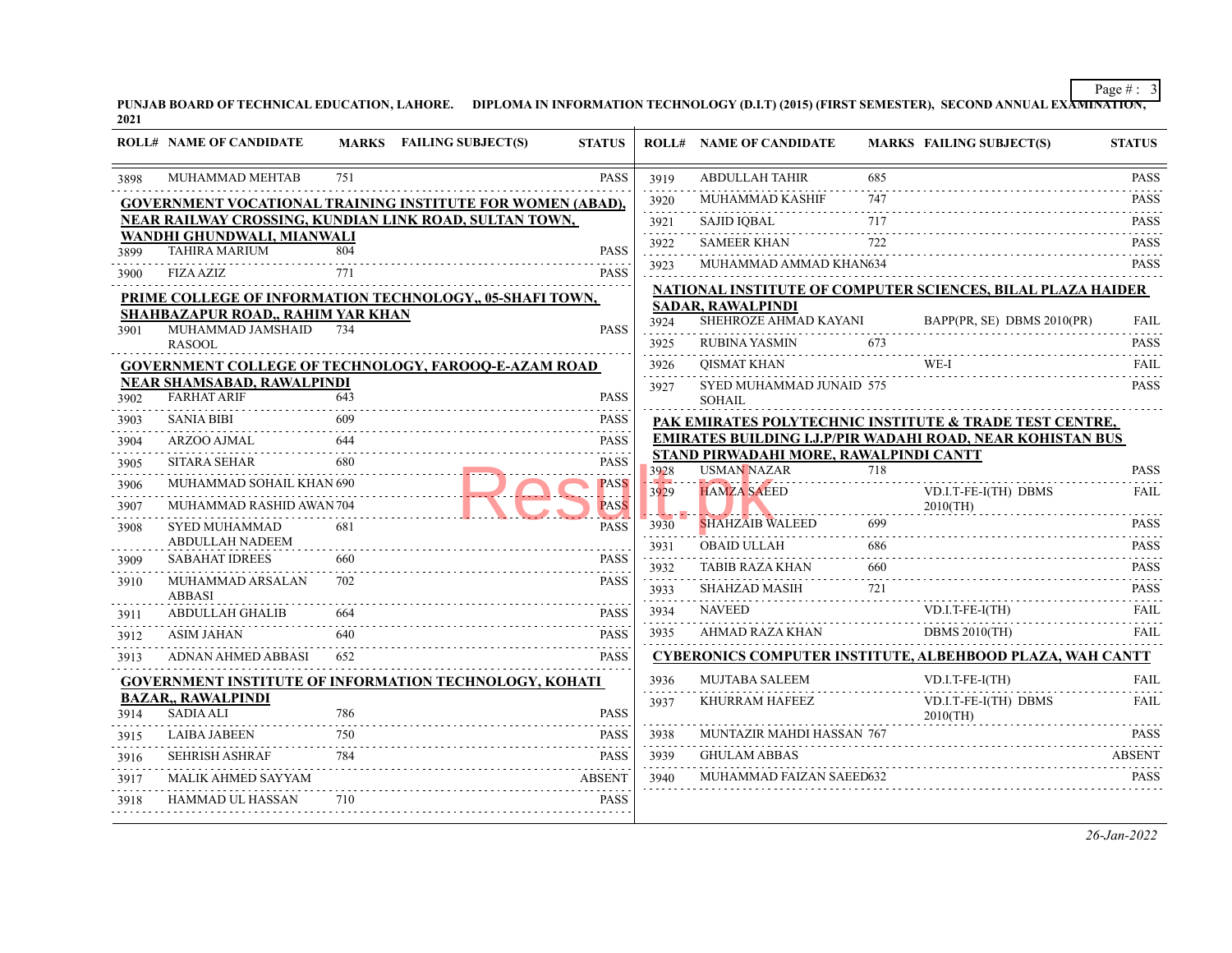PUNJAB BOARD OF TECHNICAL EDUCATION, LAHORE. DIPLOMA IN INFORMATION TECHNOLOGY (D.I.T) (2015) (FIRST SEMESTER), SECOND ANNUAL EXA<del>MINATION,</del><br>2021

|      | <b>ROLL# NAME OF CANDIDATE</b>                         |     | MARKS FAILING SUBJECT(S)                                          | <b>STATUS</b>           |           | <b>ROLL# NAME OF CANDIDATE</b>                               |     | <b>MARKS FAILING SUBJECT(S)</b>                                   | <b>STATUS</b>    |
|------|--------------------------------------------------------|-----|-------------------------------------------------------------------|-------------------------|-----------|--------------------------------------------------------------|-----|-------------------------------------------------------------------|------------------|
| 3898 | MUHAMMAD MEHTAB                                        | 751 |                                                                   | <b>PASS</b>             | 3919<br>. | <b>ABDULLAH TAHIR</b>                                        | 685 |                                                                   | <b>PASS</b>      |
|      |                                                        |     | <b>GOVERNMENT VOCATIONAL TRAINING INSTITUTE FOR WOMEN (ABAD),</b> |                         | 3920      | MUHAMMAD KASHIF                                              | 747 |                                                                   | <b>PASS</b>      |
|      |                                                        |     | NEAR RAILWAY CROSSING, KUNDIAN LINK ROAD, SULTAN TOWN,            |                         | 3921      | <b>SAJID IQBAL</b>                                           | 717 |                                                                   | <b>PASS</b>      |
| 3899 | WANDHI GHUNDWALI, MIANWALI<br><b>TAHIRA MARIUM</b>     | 804 |                                                                   | <b>PASS</b>             | .<br>3922 | <b>SAMEER KHAN</b>                                           | 722 |                                                                   | <b>PASS</b>      |
|      | <b>FIZA AZIZ</b>                                       | 771 |                                                                   | <b>PASS</b>             | .<br>3923 | MUHAMMAD AMMAD KHAN634                                       |     |                                                                   | .<br><b>PASS</b> |
| 3900 |                                                        |     |                                                                   |                         |           |                                                              |     | NATIONAL INSTITUTE OF COMPUTER SCIENCES, BILAL PLAZA HAIDER       |                  |
|      |                                                        |     | PRIME COLLEGE OF INFORMATION TECHNOLOGY, 05-SHAFI TOWN,           |                         |           | <b>SADAR, RAWALPINDI</b>                                     |     |                                                                   |                  |
| 3901 | SHAHBAZAPUR ROAD,, RAHIM YAR KHAN<br>MUHAMMAD JAMSHAID | 734 |                                                                   | <b>PASS</b>             | 3924      | SHEHROZE AHMAD KAYANI                                        |     | BAPP(PR, SE) DBMS 2010(PR)                                        | <b>FAIL</b>      |
|      | <b>RASOOL</b>                                          |     |                                                                   |                         | 3925<br>. | <b>RUBINA YASMIN</b>                                         | 673 |                                                                   | <b>PASS</b><br>. |
|      |                                                        |     | <b>GOVERNMENT COLLEGE OF TECHNOLOGY, FAROOQ-E-AZAM ROAD</b>       |                         | 3926<br>. | <b>QISMAT KHAN</b>                                           |     |                                                                   | FAIL<br>.        |
| 3902 | NEAR SHAMSABAD, RAWALPINDI<br><b>FARHAT ARIF</b>       | 643 |                                                                   | <b>PASS</b>             | 3927      | SYED MUHAMMAD JUNAID 575<br><b>SOHAIL</b>                    |     |                                                                   | PASS             |
| 3903 | <b>SANIA BIBI</b>                                      |     |                                                                   | <b>PASS</b>             |           |                                                              |     | PAK EMIRATES POLYTECHNIC INSTITUTE & TRADE TEST CENTRE,           |                  |
| 3904 | ARZOO AJMAL                                            | 644 |                                                                   | <b>PASS</b>             |           |                                                              |     | <b>EMIRATES BUILDING I.J.P/PIR WADAHI ROAD, NEAR KOHISTAN BUS</b> |                  |
| 3905 | <b>SITARA SEHAR</b>                                    | 680 |                                                                   | <b>PASS</b>             | 3928      | STAND PIRWADAHI MORE, RAWALPINDI CANTT<br><b>USMAN NAZAR</b> | 718 |                                                                   | <b>PASS</b>      |
| 3906 | MUHAMMAD SOHAIL KHAN 690                               |     |                                                                   | <b>PASS</b>             | 3929      | <b>HAMZA SAEED</b>                                           |     | VD.I.T-FE-I(TH) DBMS                                              | <b>FAIL</b>      |
| 3907 | MUHAMMAD RASHID AWAN 704                               |     |                                                                   | <b>PASS</b>             |           |                                                              |     | $2010$ (TH)                                                       |                  |
| 3908 | SYED MUHAMMAD                                          | 681 |                                                                   | $\sim 1$<br><b>PASS</b> | 3930      | <b>SHAHZAIB WALEED</b>                                       | 699 |                                                                   | <b>PASS</b>      |
|      | <b>ABDULLAH NADEEM</b>                                 |     |                                                                   |                         | 3931      | OBAID ULLAH                                                  | 686 |                                                                   | <b>PASS</b>      |
| 3909 | <b>SABAHAT IDREES</b>                                  | 660 |                                                                   | <b>PASS</b><br>.        | .<br>3932 | <b>TABIB RAZA KHAN</b>                                       | 660 |                                                                   | <b>PASS</b>      |
| 3910 | MUHAMMAD ARSALAN<br><b>ABBASI</b>                      | 702 |                                                                   | <b>PASS</b>             | 3933<br>. | SHAHZAD MASIH                                                | 721 |                                                                   | <b>PASS</b><br>. |
| 3911 | <b>ABDULLAH GHALIB</b>                                 | 664 |                                                                   | <b>PASS</b>             | 3934<br>. | <b>NAVEED</b>                                                |     | $VD.I.T-FE-I(TH)$                                                 | FAIL.            |
| 3912 | <b>ASIM JAHAN</b>                                      | 640 |                                                                   | <b>PASS</b>             | 3935      | AHMAD RAZA KHAN                                              |     | <b>DBMS 2010(TH)</b>                                              | FAIL.            |
| 3913 | ADNAN AHMED ABBASI                                     | 652 |                                                                   | <b>PASS</b>             |           |                                                              |     | <b>CYBERONICS COMPUTER INSTITUTE, ALBEHBOOD PLAZA, WAH CANTT</b>  |                  |
|      |                                                        |     | <b>GOVERNMENT INSTITUTE OF INFORMATION TECHNOLOGY, KOHATI</b>     |                         | 3936      | <b>MUJTABA SALEEM</b>                                        |     | VD.I.T-FE-I(TH)                                                   | FAIL.            |
| 3914 | <b>BAZAR,, RAWALPINDI</b><br><b>SADIA ALI</b>          | 786 |                                                                   | <b>PASS</b>             | 3937      | KHURRAM HAFEEZ                                               |     | VD.I.T-FE-I(TH) DBMS<br>$2010$ (TH)                               | FAIL.            |
| 3915 | <b>LAIBA JABEEN</b>                                    | 750 |                                                                   | <b>PASS</b>             | 3938      | MUNTAZIR MAHDI HASSAN 767                                    |     |                                                                   | <b>PASS</b>      |
| 3916 | <b>SEHRISH ASHRAF</b>                                  | 784 |                                                                   | <b>PASS</b>             | 3939      | <b>GHULAM ABBAS</b>                                          |     |                                                                   | <b>ABSENT</b>    |
| 3917 | MALIK AHMED SAYYAM                                     |     |                                                                   | <b>ABSENT</b>           | 3940      | MUHAMMAD FAIZAN SAEED632                                     |     |                                                                   | <b>PASS</b>      |
| 3918 | <b>HAMMAD UL HASSAN</b>                                | 710 |                                                                   | <b>PASS</b>             |           |                                                              |     |                                                                   |                  |
|      |                                                        |     |                                                                   |                         |           |                                                              |     |                                                                   |                  |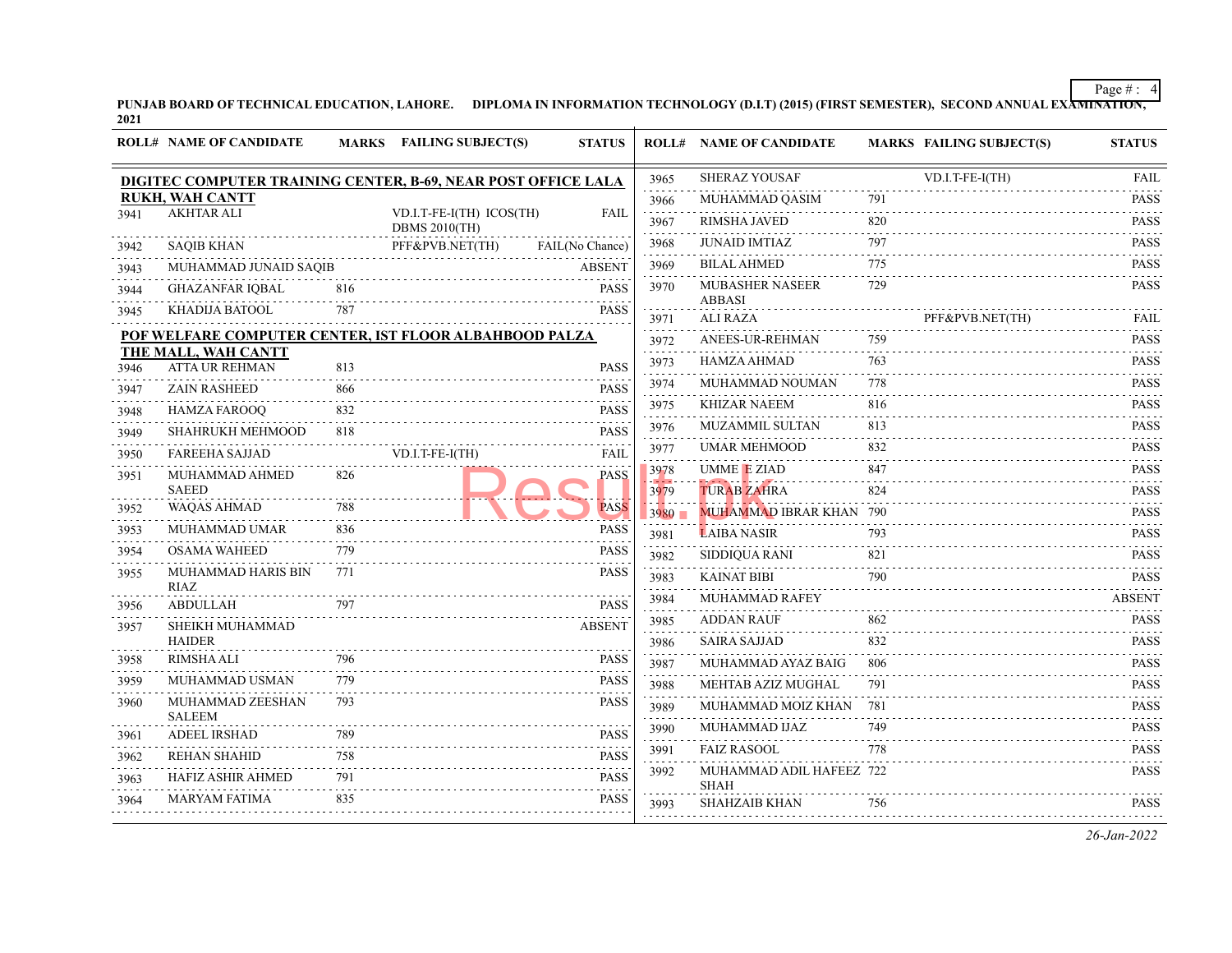PUNJAB BOARD OF TECHNICAL EDUCATION, LAHORE. DIPLOMA IN INFORMATION TECHNOLOGY (D.I.T) (2015) (FIRST SEMESTER), SECOND ANNUAL EXA<del>MINATION,</del><br>2021

| DIGITEC COMPUTER TRAINING CENTER, B-69, NEAR POST OFFICE LALA<br><b>RUKH, WAH CANTT</b><br><b>AKHTAR ALI</b><br><b>SAQIB KHAN</b><br>MUHAMMAD JUNAID SAQIB<br><b>GHAZANFAR IQBAL</b><br>KHADIJA BATOOL<br>POF WELFARE COMPUTER CENTER, IST FLOOR ALBAHBOOD PALZA<br>THE MALL, WAH CANTT<br><b>ATTA UR REHMAN</b><br><b>ZAIN RASHEED</b> | 816<br>787<br>813                                                                                                                                                                                           | VD.I.T-FE-I(TH) ICOS(TH)<br><b>DBMS 2010(TH)</b><br>PFF&PVB.NET(TH) | <b>FAIL</b><br>FAIL(No Chance)<br><b>ABSENT</b><br><b>PASS</b><br>.<br><b>PASS</b> | 3965<br>3966<br>.<br>3967<br>3968<br>3969<br>3970<br>3971                                                            | <b>SHERAZ YOUSAF</b><br>MUHAMMAD QASIM<br>RIMSHA JAVED<br><b>JUNAID IMTIAZ</b><br><b>BILAL AHMED</b><br><b>MUBASHER NASEER</b><br><b>ABBASI</b><br><b>ALI RAZA</b> | 791<br>820<br>797<br>and a state<br>775<br>729 | $VD.I.T-FE-I(TH)$                                   | <b>FAIL</b><br>$-1 - 1 - 1 - 1$                          |
|-----------------------------------------------------------------------------------------------------------------------------------------------------------------------------------------------------------------------------------------------------------------------------------------------------------------------------------------|-------------------------------------------------------------------------------------------------------------------------------------------------------------------------------------------------------------|---------------------------------------------------------------------|------------------------------------------------------------------------------------|----------------------------------------------------------------------------------------------------------------------|--------------------------------------------------------------------------------------------------------------------------------------------------------------------|------------------------------------------------|-----------------------------------------------------|----------------------------------------------------------|
|                                                                                                                                                                                                                                                                                                                                         |                                                                                                                                                                                                             |                                                                     |                                                                                    |                                                                                                                      |                                                                                                                                                                    |                                                |                                                     | <b>PASS</b><br>.                                         |
|                                                                                                                                                                                                                                                                                                                                         |                                                                                                                                                                                                             |                                                                     |                                                                                    |                                                                                                                      |                                                                                                                                                                    |                                                |                                                     | <b>PASS</b><br><b>PASS</b><br><b>PASS</b><br><b>PASS</b> |
|                                                                                                                                                                                                                                                                                                                                         |                                                                                                                                                                                                             |                                                                     |                                                                                    |                                                                                                                      |                                                                                                                                                                    |                                                |                                                     |                                                          |
|                                                                                                                                                                                                                                                                                                                                         |                                                                                                                                                                                                             |                                                                     |                                                                                    |                                                                                                                      |                                                                                                                                                                    |                                                |                                                     |                                                          |
|                                                                                                                                                                                                                                                                                                                                         |                                                                                                                                                                                                             |                                                                     |                                                                                    |                                                                                                                      |                                                                                                                                                                    |                                                |                                                     |                                                          |
|                                                                                                                                                                                                                                                                                                                                         |                                                                                                                                                                                                             |                                                                     |                                                                                    |                                                                                                                      |                                                                                                                                                                    |                                                |                                                     |                                                          |
|                                                                                                                                                                                                                                                                                                                                         |                                                                                                                                                                                                             |                                                                     |                                                                                    |                                                                                                                      |                                                                                                                                                                    |                                                | PFF&PVB.NET(TH)                                     | FAIL                                                     |
|                                                                                                                                                                                                                                                                                                                                         |                                                                                                                                                                                                             |                                                                     |                                                                                    | 3972                                                                                                                 | ANEES-UR-REHMAN                                                                                                                                                    | 759                                            |                                                     | <b>PASS</b>                                              |
|                                                                                                                                                                                                                                                                                                                                         |                                                                                                                                                                                                             |                                                                     | <b>PASS</b>                                                                        | .<br>3973                                                                                                            | HAMZA AHMAD                                                                                                                                                        | 763                                            |                                                     | <b>PASS</b>                                              |
|                                                                                                                                                                                                                                                                                                                                         | 866                                                                                                                                                                                                         |                                                                     | <b>PASS</b>                                                                        | 3974                                                                                                                 | MUHAMMAD NOUMAN                                                                                                                                                    | 778                                            |                                                     | .<br><b>PASS</b>                                         |
|                                                                                                                                                                                                                                                                                                                                         |                                                                                                                                                                                                             |                                                                     |                                                                                    | 3975                                                                                                                 | <b>KHIZAR NAEEM</b>                                                                                                                                                | 816                                            |                                                     | 1.1.1.1.1<br><b>PASS</b>                                 |
|                                                                                                                                                                                                                                                                                                                                         |                                                                                                                                                                                                             |                                                                     |                                                                                    | 3976                                                                                                                 | <b>MUZAMMIL SULTAN</b>                                                                                                                                             | 813                                            |                                                     | <b>PASS</b>                                              |
|                                                                                                                                                                                                                                                                                                                                         |                                                                                                                                                                                                             |                                                                     |                                                                                    | 3977                                                                                                                 | <b>UMAR MEHMOOD</b>                                                                                                                                                | 832                                            |                                                     | <b>PASS</b>                                              |
|                                                                                                                                                                                                                                                                                                                                         |                                                                                                                                                                                                             |                                                                     |                                                                                    | 3978                                                                                                                 | <b>UMME E ZIAD</b>                                                                                                                                                 | 847                                            |                                                     | .<br><b>PASS</b>                                         |
| <b>SAEED</b>                                                                                                                                                                                                                                                                                                                            |                                                                                                                                                                                                             |                                                                     |                                                                                    | 3979                                                                                                                 | <b>TURAB ZAHRA</b>                                                                                                                                                 | 824                                            |                                                     | .<br><b>PASS</b>                                         |
| <b>WAQAS AHMAD</b>                                                                                                                                                                                                                                                                                                                      | 788                                                                                                                                                                                                         |                                                                     | <b>PASS</b>                                                                        | $3980 -$                                                                                                             |                                                                                                                                                                    |                                                |                                                     | <b>PASS</b>                                              |
| MUHAMMAD UMAR                                                                                                                                                                                                                                                                                                                           | 836                                                                                                                                                                                                         |                                                                     | <b>PASS</b>                                                                        | 3981                                                                                                                 | <b>LAIBA NASIR</b>                                                                                                                                                 | 793                                            |                                                     | <b>PASS</b><br>.                                         |
|                                                                                                                                                                                                                                                                                                                                         | 779                                                                                                                                                                                                         |                                                                     | <b>PASS</b>                                                                        | 3982                                                                                                                 | SIDDIQUA RANI                                                                                                                                                      | 821                                            |                                                     | <b>PASS</b><br>.                                         |
| MUHAMMAD HARIS BIN                                                                                                                                                                                                                                                                                                                      | 771                                                                                                                                                                                                         |                                                                     |                                                                                    | 3983                                                                                                                 | <b>KAINAT BIBI</b>                                                                                                                                                 | 790                                            |                                                     | <b>PASS</b><br>.                                         |
| ABDULLAH                                                                                                                                                                                                                                                                                                                                | 797                                                                                                                                                                                                         |                                                                     | <b>PASS</b>                                                                        | 3984                                                                                                                 | MUHAMMAD RAFEY                                                                                                                                                     |                                                |                                                     | <b>ABSENT</b>                                            |
| SHEIKH MUHAMMAD                                                                                                                                                                                                                                                                                                                         |                                                                                                                                                                                                             |                                                                     | <b>ABSENT</b>                                                                      | 3985                                                                                                                 | <b>ADDAN RAUF</b>                                                                                                                                                  | 862                                            |                                                     | <b>PASS</b>                                              |
| <b>HAIDER</b>                                                                                                                                                                                                                                                                                                                           |                                                                                                                                                                                                             |                                                                     |                                                                                    | 3986                                                                                                                 | <b>SAIRA SAJJAD</b>                                                                                                                                                | 832                                            |                                                     | <b>PASS</b>                                              |
|                                                                                                                                                                                                                                                                                                                                         |                                                                                                                                                                                                             |                                                                     |                                                                                    | 3987<br>.                                                                                                            | MUHAMMAD AYAZ BAIG                                                                                                                                                 | 806                                            |                                                     | <b>PASS</b><br>.                                         |
|                                                                                                                                                                                                                                                                                                                                         |                                                                                                                                                                                                             |                                                                     |                                                                                    | 3988                                                                                                                 | MEHTAB AZIZ MUGHAL                                                                                                                                                 | 791                                            |                                                     | <b>PASS</b><br>$-1 - 1 - 1$                              |
|                                                                                                                                                                                                                                                                                                                                         |                                                                                                                                                                                                             |                                                                     |                                                                                    | 3989<br>والمتعاملات                                                                                                  | MUHAMMAD MOIZ KHAN                                                                                                                                                 | 781                                            |                                                     | <b>PASS</b><br>.                                         |
| <b>ADEEL IRSHAD</b>                                                                                                                                                                                                                                                                                                                     | 789                                                                                                                                                                                                         |                                                                     | <b>PASS</b>                                                                        | 3990                                                                                                                 | MUHAMMAD IJAZ                                                                                                                                                      | 749                                            |                                                     | <b>PASS</b>                                              |
| <b>REHAN SHAHID</b>                                                                                                                                                                                                                                                                                                                     | 758                                                                                                                                                                                                         |                                                                     | <b>PASS</b>                                                                        | 3991                                                                                                                 | <b>FAIZ RASOOL</b>                                                                                                                                                 | 778                                            |                                                     | <b>PASS</b>                                              |
| HAFIZ ASHIR AHMED                                                                                                                                                                                                                                                                                                                       | 791                                                                                                                                                                                                         |                                                                     | <b>PASS</b>                                                                        | 3992                                                                                                                 |                                                                                                                                                                    |                                                |                                                     | <b>PASS</b>                                              |
| <b>MARYAM FATIMA</b>                                                                                                                                                                                                                                                                                                                    | 835                                                                                                                                                                                                         |                                                                     | <b>PASS</b>                                                                        | 3993                                                                                                                 | <b>SHAHZAIB KHAN</b>                                                                                                                                               | 756                                            |                                                     | <b>PASS</b>                                              |
|                                                                                                                                                                                                                                                                                                                                         | <b>HAMZA FAROOQ</b><br><b>SHAHRUKH MEHMOOD</b><br><b>FAREEHA SAJJAD</b><br>MUHAMMAD AHMED<br><b>OSAMA WAHEED</b><br><b>RIAZ</b><br><b>RIMSHA ALI</b><br>MUHAMMAD USMAN<br>MUHAMMAD ZEESHAN<br><b>SALEEM</b> | 832<br>818<br>826<br>796<br>779<br>793                              | VD.I.T-FE-I(TH)                                                                    | <b>PASS</b><br><b>PASS</b><br><b>FAIL</b><br><b>PASS</b><br><b>PASS</b><br><b>PASS</b><br><b>PASS</b><br><b>PASS</b> | .                                                                                                                                                                  | <b>SHAH</b>                                    | MUHAMMAD IBRAR KHAN 790<br>MUHAMMAD ADIL HAFEEZ 722 | .                                                        |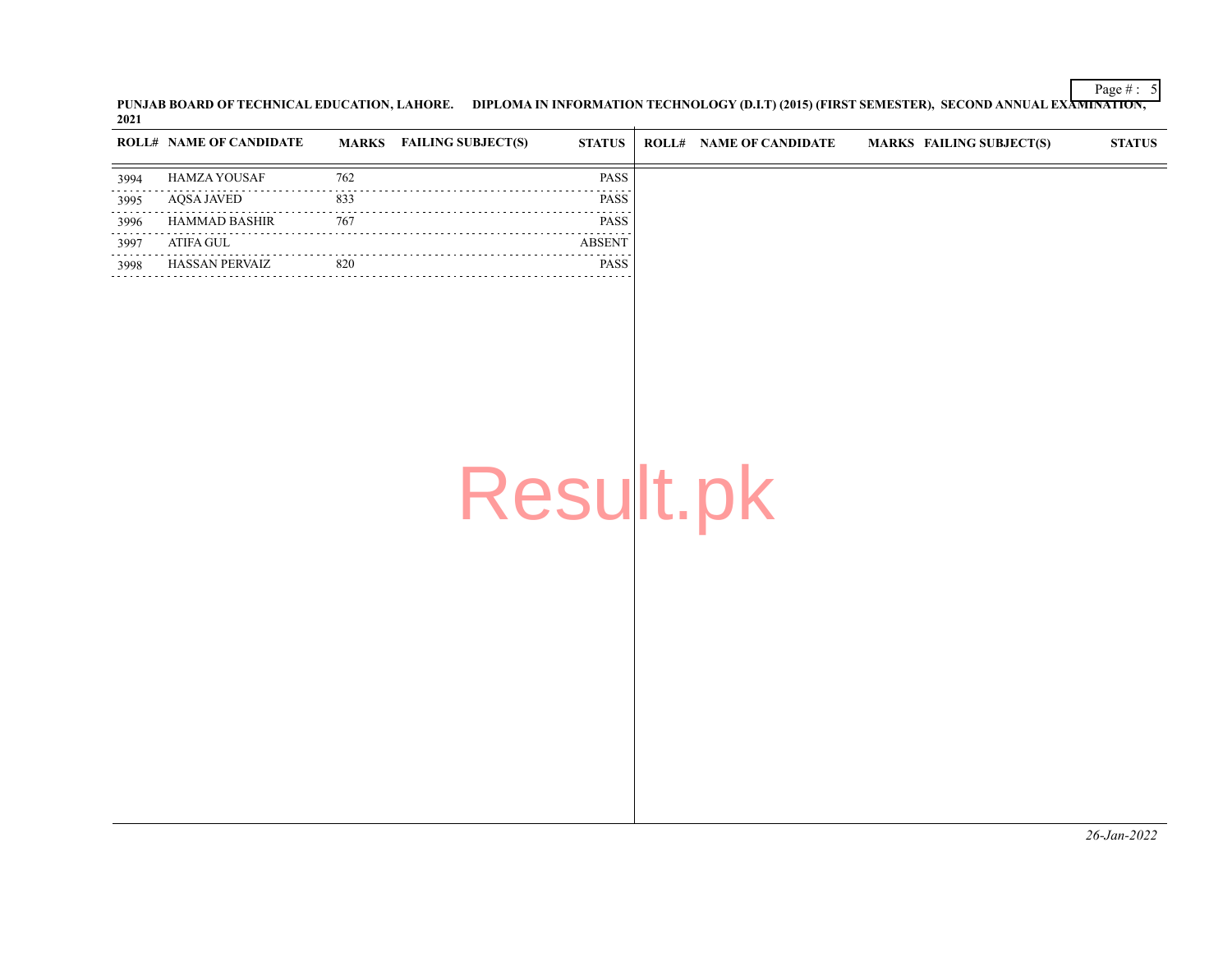PUNJAB BOARD OF TECHNICAL EDUCATION, LAHORE. DIPLOMA IN INFORMATION TECHNOLOGY (D.I.T) (2015) (FIRST SEMESTER), SECOND ANNUAL EXAMINATION<del>,</del><br>2021

|      | <b>ROLL# NAME OF CANDIDATE</b> |     | MARKS FAILING SUBJECT(S)<br><b>STATUS</b> | <b>ROLL# NAME OF CANDIDATE</b> | MARKS FAILING SUBJECT(S) | <b>STATUS</b> |
|------|--------------------------------|-----|-------------------------------------------|--------------------------------|--------------------------|---------------|
| 3994 | <b>HAMZA YOUSAF</b>            | 762 | <b>PASS</b>                               |                                |                          |               |
| 3995 | AOSA JAVED                     | 833 | <b>PASS</b>                               |                                |                          |               |
| 3996 | HAMMAD BASHIR                  | 767 | <b>PASS</b>                               |                                |                          |               |
| 3997 | ATIFA GUL                      |     | .<br><b>ABSENT</b>                        |                                |                          |               |
| 3998 | <b>HASSAN PERVAIZ</b>          | 820 | <b>PASS</b>                               |                                |                          |               |
|      |                                |     |                                           |                                |                          |               |
|      |                                |     |                                           |                                |                          |               |
|      |                                |     |                                           |                                |                          |               |

Result.pk

Page # : 5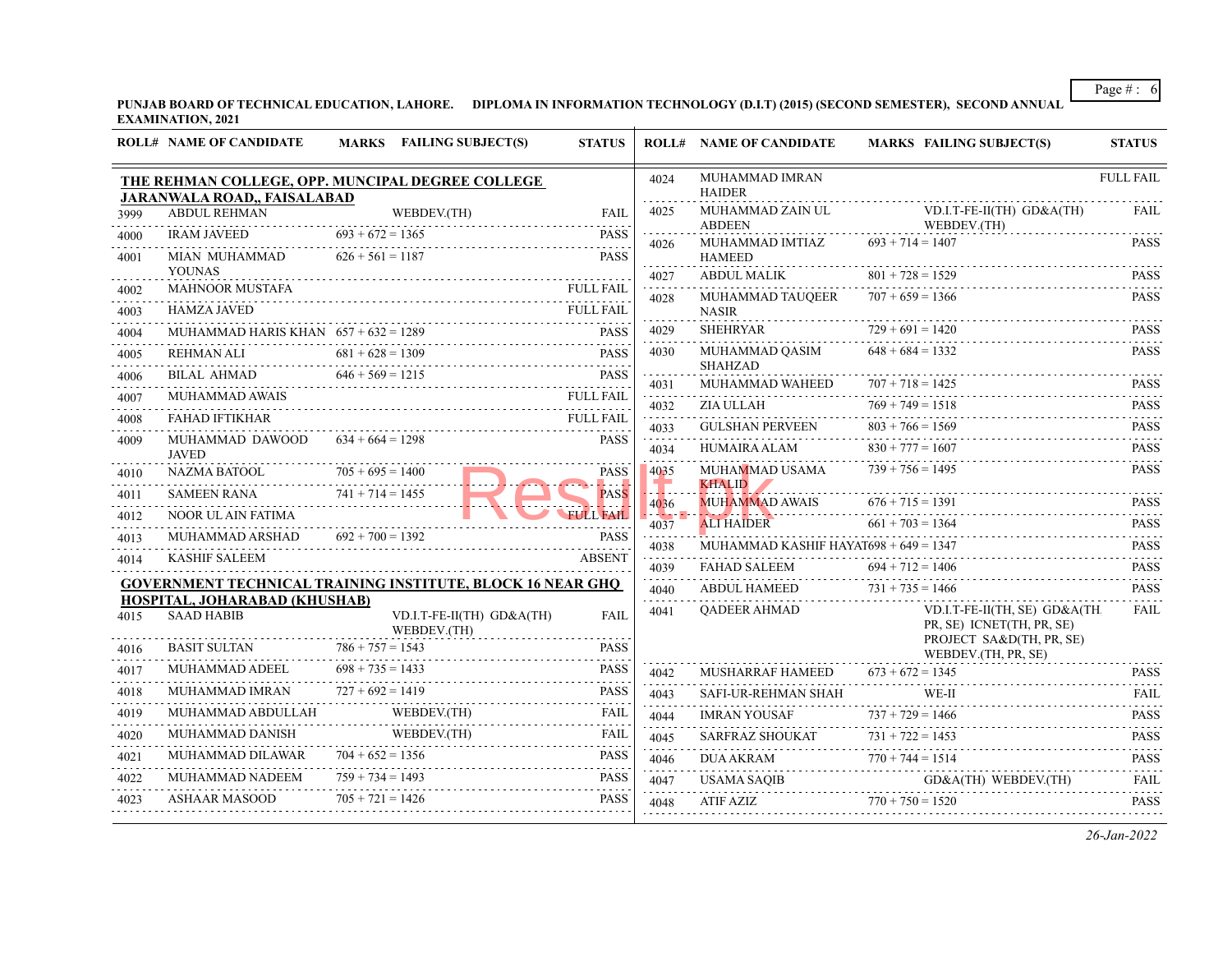**PUNJAB BOARD OF TECHNICAL EDUCATION, LAHORE. DIPLOMA IN INFORMATION TECHNOLOGY (D.I.T) (2015) (SECOND SEMESTER), SECOND ANNUAL EXAMINATION, 2021**  $\overline{+}$ 

|      | <b>ROLL# NAME OF CANDIDATE</b>                     | MARKS FAILING SUBJECT(S)                                          | <b>STATUS</b>    |                                           | <b>ROLL# NAME OF CANDIDATE</b>        | <b>MARKS FAILING SUBJECT(S)</b>                                                                                                                                                                                                | <b>STATUS</b>                               |
|------|----------------------------------------------------|-------------------------------------------------------------------|------------------|-------------------------------------------|---------------------------------------|--------------------------------------------------------------------------------------------------------------------------------------------------------------------------------------------------------------------------------|---------------------------------------------|
|      | JARANWALA ROAD,, FAISALABAD                        | THE REHMAN COLLEGE, OPP. MUNCIPAL DEGREE COLLEGE                  |                  | 4024                                      | MUHAMMAD IMRAN<br><b>HAIDER</b>       |                                                                                                                                                                                                                                | <b>FULL FAIL</b>                            |
| 3999 | <b>ABDUL REHMAN</b>                                | WEBDEV.(TH)                                                       | <b>FAIL</b>      | 4025                                      | MUHAMMAD ZAIN UL<br><b>ABDEEN</b>     | $VD.I.T-FE-II(TH)$ $GD&A(TH)$<br>WEBDEV.(TH)                                                                                                                                                                                   | <b>FAIL</b>                                 |
| 4000 | <b>IRAM JAVEED</b>                                 | $693 + 672 = 1365$                                                | <b>PASS</b><br>. | 4026                                      | MUHAMMAD IMTIAZ                       | $693 + 714 = 1407$                                                                                                                                                                                                             | <b>PASS</b>                                 |
| 4001 | MIAN MUHAMMAD<br><b>YOUNAS</b>                     | $626 + 561 = 1187$                                                | <b>PASS</b>      |                                           | <b>HAMEED</b>                         |                                                                                                                                                                                                                                |                                             |
| 4002 | <b>MAHNOOR MUSTAFA</b>                             |                                                                   | <b>FULL FAIL</b> | 4027<br>.                                 | ABDUL MALIK                           | $801 + 728 = 1529$                                                                                                                                                                                                             | <b>PASS</b><br>.                            |
| 4003 | <b>HAMZA JAVED</b>                                 | HAMZA JAVED FULL FAIL                                             | <b>FULL FAIL</b> | 4028                                      | MUHAMMAD TAUQEER<br><b>NASIR</b>      | $707 + 659 = 1366$                                                                                                                                                                                                             | <b>PASS</b>                                 |
| 4004 | MUHAMMAD HARIS KHAN $657 + 632 = 1289$             |                                                                   | <b>PASS</b>      | 4029                                      | <b>SHEHRYAR</b>                       | $729 + 691 = 1420$                                                                                                                                                                                                             | <b>PASS</b>                                 |
| 4005 |                                                    | $681 + 628 = 1309$<br>REHMAN ALI $681 + 628 = 1309$ PASS          |                  | 4030                                      | MUHAMMAD QASIM                        | $648 + 684 = 1332$                                                                                                                                                                                                             | <b>PASS</b>                                 |
| 4006 |                                                    | BILAL AHMAD 646 + 569 = 1215 PASS                                 |                  | 4031                                      | <b>SHAHZAD</b><br>MUHAMMAD WAHEED     | $707 + 718 = 1425$                                                                                                                                                                                                             | <b>PASS</b>                                 |
| 4007 | MUHAMMAD AWAIS                                     |                                                                   | <b>FULL FAIL</b> | .<br>4032                                 | ZIA ULLAH                             | MUHAMMAD WAHEED $707 + 718 = 1425$ PASS<br>$769 + 749 = 1518$                                                                                                                                                                  | <b>PASS</b>                                 |
| 4008 | <b>FAHAD IFTIKHAR</b>                              |                                                                   | <b>FULL FAIL</b> | .<br>4033                                 | <b>GULSHAN PERVEEN</b>                | $769 + 749 = 1518$<br>$803 + 766 = 1569$                                                                                                                                                                                       | .<br><b>PASS</b>                            |
| 4009 | MUHAMMAD DAWOOD<br><b>JAVED</b>                    | $634 + 664 = 1298$                                                | <b>PASS</b>      | .<br>4034<br>and a state.                 |                                       | HUMAIRA ALAM $830 + 777 = 1607$ PASS                                                                                                                                                                                           |                                             |
| 4010 | NAZMA BATOOL $705 + 695 = 1400$                    |                                                                   | <b>PASS</b>      | 4035                                      | MUHAMMAD USAMA                        | $739 + 756 = 1495$                                                                                                                                                                                                             | <b>PASS</b>                                 |
| 4011 | SAMEEN RANA $741 + 714 = 1455$                     |                                                                   | <b>PASS</b>      | Л.,<br>4036                               |                                       | KHALID AND A CONTROL CONTROL CONTROL CONTROL CONTROL CONTROL CONTROL CONTROL CONTROL CONTROL CONTROL CONTROL CONTROL CONTROL CONTROL CONTROL CONTROL CONTROL CONTROL CONTROL CONTROL CONTROL CONTROL CONTROL CONTROL CONTROL C | <b>PASS</b>                                 |
| 4012 | NOOR UL AIN FATIMA                                 |                                                                   | <b>FULL FAIL</b> | $\sim$ . The second second $\sim$<br>4037 |                                       | MUHAMMAD AWAIS $676 + 715 = 1391$<br>ALI HAIDER $661 + 703 = 1364$                                                                                                                                                             | .<br><b>PASS</b>                            |
| 4013 | MUHAMMAD ARSHAD $692 + 700 = 1392$                 |                                                                   | <b>PASS</b>      | is sa sa<br>4038                          | MUHAMMAD KASHIF HAYAT698 + 649 = 1347 | $\overline{8R}$ 661 + 703 = 1364                                                                                                                                                                                               | <b>PASS</b>                                 |
| 4014 | <b>KASHIF SALEEM</b>                               |                                                                   | <b>ABSENT</b>    | الماعات عامل<br>4039                      |                                       | FAHAD SALEEM $694 + 712 = 1406$                                                                                                                                                                                                | <b>PASS</b>                                 |
|      |                                                    | <b>GOVERNMENT TECHNICAL TRAINING INSTITUTE, BLOCK 16 NEAR GHQ</b> |                  | .<br>4040                                 | ABDUL HAMEED $731 + 735 = 1466$       |                                                                                                                                                                                                                                | $\mathbb{Z}$ is a single set<br><b>PASS</b> |
| 4015 | HOSPITAL, JOHARABAD (KHUSHAB)<br><b>SAAD HABIB</b> | VD.I.T-FE-II(TH) GD&A(TH)<br>WEBDEV.(TH)<br>.                     | FAIL             | .<br>4041                                 | QADEER AHMAD                          | VD.I.T-FE-II(TH, SE) GD&A(TH.<br>PR, SE) ICNET(TH, PR, SE)                                                                                                                                                                     | .<br><b>FAIL</b>                            |
| 4016 | <b>BASIT SULTAN</b> $786 + 757 = 1543$             |                                                                   | <b>PASS</b>      |                                           |                                       | PROJECT SA&D(TH, PR, SE)<br>WEBDEV.(TH, PR, SE)                                                                                                                                                                                |                                             |
| 4017 | MUHAMMAD ADEEL $698 + 735 = 1433$                  |                                                                   | <b>PASS</b>      | 4042                                      | MUSHARRAF HAMEED                      | $673 + 672 = 1345$                                                                                                                                                                                                             | <b>PASS</b>                                 |
| 4018 | MUHAMMAD IMRAN                                     | $727 + 692 = 1419$                                                | <b>PASS</b><br>. | .<br>4043                                 | SAFI-UR-REHMAN SHAH                   | WE-II<br>WE-II FAIL                                                                                                                                                                                                            | <b>FAIL</b>                                 |
| 4019 |                                                    |                                                                   |                  | .<br>4044                                 | <b>IMRAN YOUSAF</b>                   | $737 + 729 = 1466$<br>$\Delta F$ 737 + 729 = 1466                                                                                                                                                                              | <b>PASS</b>                                 |
| 4020 | MUHAMMAD DANISH WEBDEV.(TH)                        | WEBDEV.(TH) FAIL                                                  |                  | 4045                                      |                                       | $SARFRAZ SHOUKAT 731 + 722 = 1453$                                                                                                                                                                                             | <b>PASS</b>                                 |
| 4021 | MUHAMMAD DILAWAR                                   | $704 + 652 = 1356$                                                | <b>PASS</b>      | .<br>4046<br>.                            |                                       | DUA AKRAM $770 + 744 = 1514$                                                                                                                                                                                                   | .<br><b>PASS</b><br>.                       |
| 4022 | MUHAMMAD NADEEM                                    | $759 + 734 = 1493$                                                | <b>PASS</b>      | 4047                                      |                                       | USAMA SAQIB GD&A(TH) WEBDEV.(TH)                                                                                                                                                                                               | FAII.<br>.                                  |
| 4023 | <b>ASHAAR MASOOD</b>                               | $705 + 721 = 1426$                                                | <b>PASS</b>      | 4048                                      | ATIF AZIZ $770 + 750 = 1520$          | ATIF AZIZ $770 + 750 = 1520$ PASS                                                                                                                                                                                              |                                             |
|      |                                                    |                                                                   |                  |                                           |                                       |                                                                                                                                                                                                                                |                                             |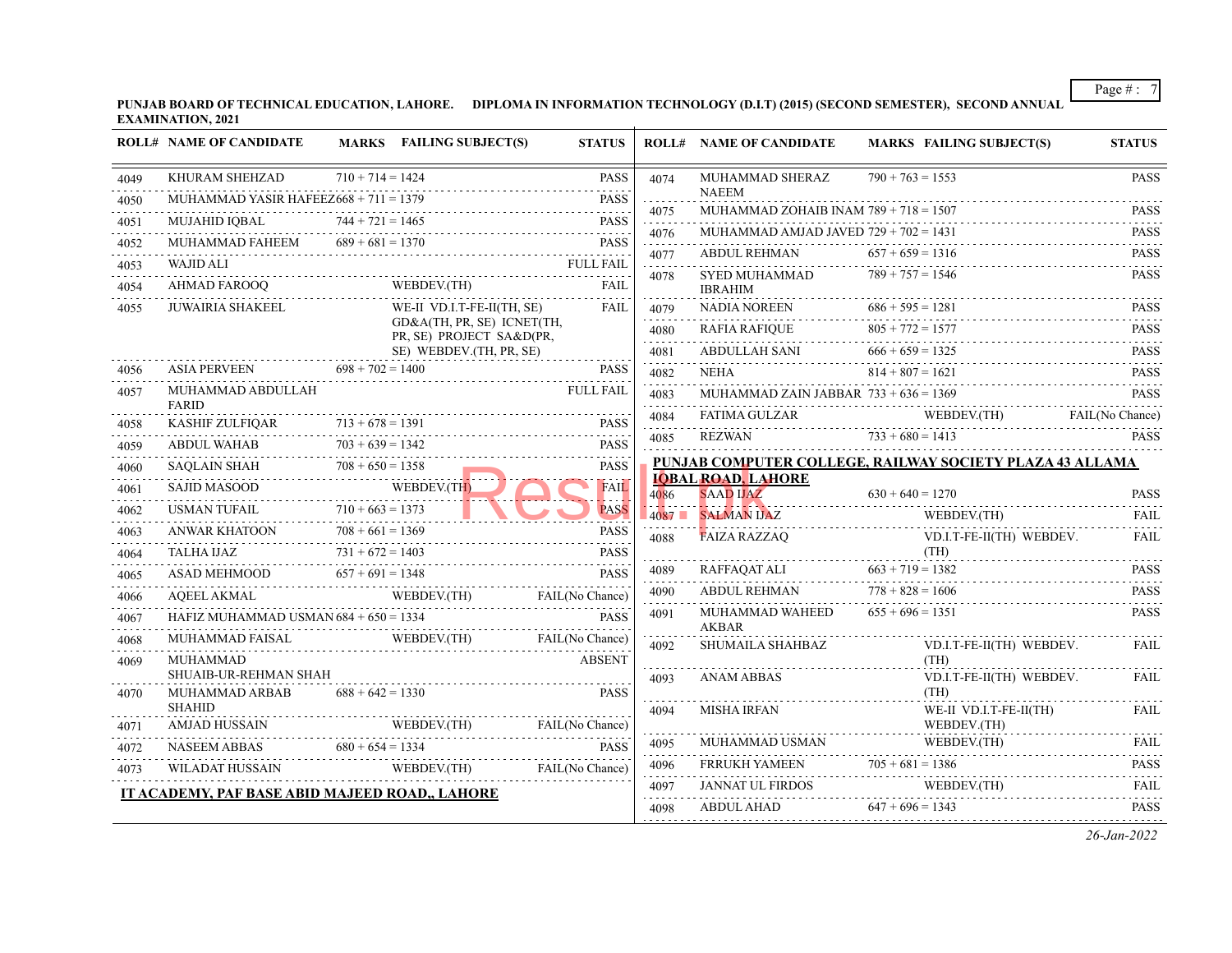**PUNJAB BOARD OF TECHNICAL EDUCATION, LAHORE. DIPLOMA IN INFORMATION TECHNOLOGY (D.I.T) (2015) (SECOND SEMESTER), SECOND ANNUAL EXAMINATION, 2021**

|      | <b>ROLL# NAME OF CANDIDATE</b>                                                 |                    | MARKS FAILING SUBJECT(S)                               | <b>STATUS</b>            |           | <b>ROLL# NAME OF CANDIDATE</b>                          | MARKS FAILING SUBJECT(S)                                              | <b>STATUS</b>                                                                                                                                                       |
|------|--------------------------------------------------------------------------------|--------------------|--------------------------------------------------------|--------------------------|-----------|---------------------------------------------------------|-----------------------------------------------------------------------|---------------------------------------------------------------------------------------------------------------------------------------------------------------------|
| 4049 | KHURAM SHEHZAD                                                                 | $710 + 714 = 1424$ |                                                        | <b>PASS</b><br>-----<br> | 4074      | MUHAMMAD SHERAZ                                         | $790 + 763 = 1553$                                                    | PASS                                                                                                                                                                |
| 4050 | MUHAMMAD YASIR HAFEEZ $668 + 711 = 1379$                                       |                    |                                                        | <b>PASS</b>              | .<br>4075 | <b>NAEEM</b><br>MUHAMMAD ZOHAIB INAM $789 + 718 = 1507$ |                                                                       | <b>PASS</b>                                                                                                                                                         |
| 4051 | MUJAHID IQBAL                                                                  | $744 + 721 = 1465$ | $744 + 721 = 1465$ PASS                                | <b>PASS</b>              | .<br>4076 | MUHAMMAD AMJAD JAVED $729 + 702 = 1431$                 |                                                                       | .<br><b>PASS</b>                                                                                                                                                    |
| 4052 | MUHAMMAD FAHEEM $689 + 681 = 1370$<br>UHAMMAD FAHEEM 689 + 681 = 1370 PASS     |                    |                                                        | <b>PASS</b>              | 4077      | ABDUL REHMAN                                            | $657 + 659 = 1316$                                                    | <b>PASS</b>                                                                                                                                                         |
| 4053 | <b>WAJID ALI</b>                                                               |                    | FULL FAIL                                              |                          | .         | SYED MUHAMMAD                                           | $789 + 757 = 1546$                                                    | .<br><b>PASS</b>                                                                                                                                                    |
| 4054 | AHMAD FAROOQ                                                                   |                    | WEBDEV.(TH)                                            | FAIL                     | 4078      | <b>IBRAHIM</b>                                          |                                                                       |                                                                                                                                                                     |
| 4055 | JUWAIRIA SHAKEEL                                                               |                    | WE-II VD.I.T-FE-II(TH, SE)                             | FAIL                     | 4079      |                                                         | IBRAHIM<br>NADIA NOREEN $686 + 595 = 1281$                            | <b>PASS</b><br>.                                                                                                                                                    |
|      |                                                                                |                    | GD&A(TH, PR, SE) ICNET(TH,<br>PR, SE) PROJECT SA&D(PR, |                          | .<br>4080 |                                                         |                                                                       |                                                                                                                                                                     |
|      |                                                                                |                    | SE) WEBDEV.(TH, PR, SE)                                |                          | 4081<br>. |                                                         | $RAFIA RAFIQUE 805 + 772 = 1577\nABDULLAH SAN 666 + 659 = 1325\nPASS$ |                                                                                                                                                                     |
| 4056 | ASIA PERVEEN $698 + 702 = 1400$                                                |                    |                                                        | <b>PASS</b>              | 4082<br>. |                                                         | NEHA $814 + 807 = 1621$ PASS                                          |                                                                                                                                                                     |
| 4057 | MUHAMMAD ABDULLAH<br><b>FARID</b>                                              |                    |                                                        | <b>FULL FAIL</b>         | 4083      |                                                         | MUHAMMAD ZAIN JABBAR $733 + 636 = 1369$                               | <b>PASS</b>                                                                                                                                                         |
| 4058 |                                                                                |                    |                                                        |                          | 4084<br>. |                                                         | FATIMA GULZAR WEBDEV(TH) FAIL(No Chance)                              |                                                                                                                                                                     |
| 4059 | KASHIF ZULFIQAR $713 + 678 = 1391$ PASS<br>ABDUL WAHAB                         | $703 + 639 = 1342$ |                                                        | <b>PASS</b>              | 4085      |                                                         | REZWAN $733 + 680 = 1413$                                             | <b>PASS</b>                                                                                                                                                         |
| 4060 | SAQLAIN SHAH $708 + 650 = 1358$                                                |                    |                                                        | <b>PASS</b>              |           |                                                         | PUNJAB COMPUTER COLLEGE, RAILWAY SOCIETY PLAZA 43 ALLAMA              |                                                                                                                                                                     |
| 4061 |                                                                                |                    |                                                        | <b>FAIL</b>              | 4086      | <b>IOBAL ROAD, LAHORE</b>                               |                                                                       |                                                                                                                                                                     |
| 4062 | SAJID MASOOD WEBDEV.(TH)                                                       |                    |                                                        | <b>PASS</b>              |           | 4087 SALMAN IJAZ                                        | $4086$ SAAD UAZ 630 + 640 = 1270 PASS<br>WEBDEV.(TH)                  | FAII.                                                                                                                                                               |
| 4063 | ANWAR KHATOON $708 + 661 = 1369$ PASS                                          |                    |                                                        |                          | 4088      | <b>FAIZA RAZZAQ</b>                                     | VD.I.T-FE-II(TH) WEBDEV.                                              | <b>FAIL</b>                                                                                                                                                         |
| 4064 |                                                                                |                    |                                                        |                          |           |                                                         |                                                                       |                                                                                                                                                                     |
| 4065 | TALHA IJAZ<br>$731 + 672 = 1403$<br>PASS<br>ASAD MEHMOOD 657 + 691 = 1348 PASS |                    |                                                        |                          | 4089      |                                                         |                                                                       | <b>PASS</b>                                                                                                                                                         |
| 4066 | AQEEL AKMAL WEBDEV.(TH) FAIL (No Chance)                                       |                    |                                                        |                          | 4090      | ABDUL REHMAN $778 + 828 = 1606$                         |                                                                       | <b>PASS</b><br>$\frac{1}{2} \left( \frac{1}{2} \right) \left( \frac{1}{2} \right) \left( \frac{1}{2} \right) \left( \frac{1}{2} \right) \left( \frac{1}{2} \right)$ |
| 4067 | HAFIZ MUHAMMAD USMAN 684 + 650 = 1334                                          |                    |                                                        | <b>PASS</b>              | 4091      | MUHAMMAD WAHEED<br>AKBAR                                | $655 + 696 = 1351$                                                    | <b>PASS</b>                                                                                                                                                         |
| 4068 | MUHAMMAD FAISAL WEBDEV.(TH) FAIL(No Chance)                                    |                    |                                                        |                          | 4092      | SHUMAILA SHAHBAZ                                        | VD.I.T-FE-II(TH) WEBDEV.                                              | <b>FAIL</b>                                                                                                                                                         |
| 4069 | MUHAMMAD                                                                       |                    |                                                        | <b>ABSENT</b>            |           |                                                         | (TH)                                                                  |                                                                                                                                                                     |
| 4070 | SHUAIB-UR-REHMAN SHAH<br>MUHAMMAD ARBAB                                        | $688 + 642 = 1330$ |                                                        | <b>PASS</b>              | 4093      | <b>ANAM ABBAS</b>                                       | VD.I.T-FE-II(TH) WEBDEV.<br>(TH)                                      | FAII.                                                                                                                                                               |
|      | <b>SHAHID</b>                                                                  |                    |                                                        |                          | .<br>4094 | MISHA IRFAN                                             | WE-II VD.I.T-FE-II(TH)                                                | FAIL                                                                                                                                                                |
| 4071 |                                                                                |                    |                                                        |                          | .         |                                                         | WEBDEV.(TH)                                                           |                                                                                                                                                                     |
| 4072 | MJAD HUSSAIN WEBDEV(TH) FAIL(No Chance)<br>NASEEM ABBAS 680 + 654 = 1334 PASS  |                    |                                                        |                          | 4095<br>. | MUHAMMAD USMAN                                          | MUHAMMAD USMAN WEBDEV.(TH)                                            | FAIL<br>.                                                                                                                                                           |
| 4073 | WILADAT HUSSAIN WEBDEV.(TH) FAIL(No Chance)                                    |                    |                                                        |                          | 4096      |                                                         | FRRUKH YAMEEN 705 + 681 = 1386                                        | <b>PASS</b>                                                                                                                                                         |
|      | IT ACADEMY, PAF BASE ABID MAJEED ROAD,, LAHORE                                 |                    |                                                        |                          | 4097<br>. |                                                         | JANNAT UL FIRDOS WEBDEV.(TH) FAIL                                     |                                                                                                                                                                     |
|      |                                                                                |                    |                                                        |                          | 4098      | <b>ABDUL AHAD</b>                                       | $647 + 696 = 1343$                                                    | <b>PASS</b>                                                                                                                                                         |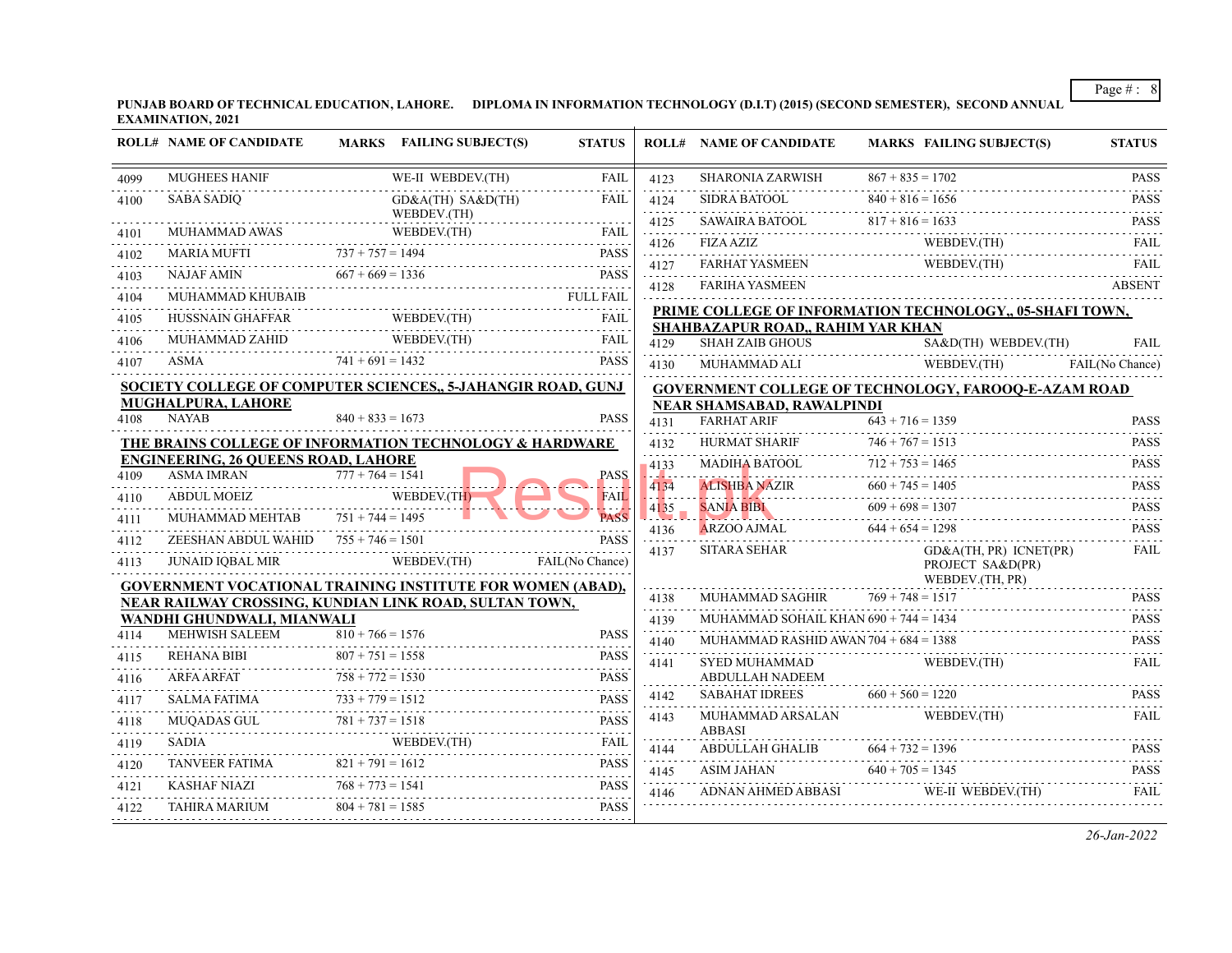**PUNJAB BOARD OF TECHNICAL EDUCATION, LAHORE. DIPLOMA IN INFORMATION TECHNOLOGY (D.I.T) (2015) (SECOND SEMESTER), SECOND ANNUAL EXAMINATION, 2021**

| $867 + 835 = 1702$<br><b>MUGHEES HANIF</b><br>WE-II WEBDEV.(TH)<br><b>SHARONIA ZARWISH</b><br>FAIL<br>4123<br>4099<br>.<br>$840 + 816 = 1656$<br><b>SABA SADIO</b><br>$GD&A(TH)$ $SA&D(TH)$<br>SIDRA BATOOL<br>FAIL<br>4124<br>4100<br><u>.</u><br>WEBDEV.(TH)<br>SAWAIRA BATOOL 817 + 816 = 1633<br>4125<br>$\begin{tabular}{lllllllll} \multicolumn{2}{l}{{\bf MUHAMMAD AWAS}} & & {\bf WEBDEV.(TH)} & {\bf FAIL} \\ \multicolumn{2}{l}{{\bf MARIA MUFTI}} & & {\bf 737 + 757 = 1494} & & {\bf PASS} \\ & & & {\bf 1498} & & {\bf 1588} \\ \multicolumn{2}{l}{{\bf MARIA MUFTI}} & & {\bf 2199} & {\bf 221} & {\bf 231} & {\bf 231} & {\bf 249} \\ \multicolumn{2}{l}{{\bf MUIAUMAD AWAS}} & & {\bf 158} & {\bf 221}$<br>4101<br>.<br>WEBDEV.(TH)<br>$4126$ FIZA AZIZ WEBDEV.(TH)<br>4102<br><b>FARHAT YASMEEN</b><br>WEBDEV.(TH)<br>FARHAT YASMEEN WEBDEV.(TH)<br>4127<br>$667 + 669 = 1336$<br><b>NAJAF AMIN</b><br><b>PASS</b><br>$667 + 669 = 1336$<br>4103<br><u>.</u><br>4128<br><b>FARIHA YASMEEN</b><br>.<br>MUHAMMAD KHUBAIB<br>4104<br>PRIME COLLEGE OF INFORMATION TECHNOLOGY,, 05-SHAFI TOWN,<br>WEBDEV.(TH)<br><b>HUSSNAIN GHAFFAR</b><br>FAIL<br>4105<br>SHAHBAZAPUR ROAD,, RAHIM YAR KHAN<br>WEBDEV.(TH)<br>MUHAMMAD ZAHID<br>FAIL<br>SA&D(TH) WEBDEV.(TH)<br><b>SHAH ZAIB GHOUS</b><br>4106<br>4129<br>$WEBDEV(TH)$ $FAIL(No)$<br>$741 + 691 = 1432$<br><b>PASS</b><br>ASMA<br>4107<br>MUHAMMAD ALI<br>4130<br><b>SOCIETY COLLEGE OF COMPUTER SCIENCES,, 5-JAHANGIR ROAD, GUNJ</b><br>GOVERNMENT COLLEGE OF TECHNOLOGY, FAROOQ-E-AZAM ROAD<br><b>MUGHALPURA, LAHORE</b><br><b>NEAR SHAMSABAD, RAWALPINDI</b><br><b>NAYAB</b><br>$840 + 833 = 1673$<br><b>PASS</b><br>4108<br><b>FARHAT ARIF</b><br>$643 + 716 = 1359$<br>4131<br>.<br>$746 + 767 = 1513$<br>THE BRAINS COLLEGE OF INFORMATION TECHNOLOGY & HARDWARE<br>HURMAT SHARIF<br>4132<br>.<br><b>ENGINEERING, 26 QUEENS ROAD, LAHORE</b><br>$712 + 753 = 1465$<br><b>MADIHA BATOOL</b><br>$-4133$<br><b>ASMA IMRAN</b><br>$777 + 764 = 1541$<br><b>PASS</b><br>4109<br>ALISHBA NAZIR $660 + 745 = 1405$<br>4134<br>WEBDEV.(TH)<br>ABDUL MOEIZ<br>4110<br><b>FAIL</b><br>والمساوية<br>$609 + 698 = 1307$<br><b>SANJA BIBI</b> $609 + 698 = 1307$<br>4135<br>MUHAMMAD MEHTAB $751 + 744 = 1495$<br><b>PASS</b><br>4111<br>ARZOO AJMAL<br>$644 + 654 = 1298$<br>4136<br>ZEESHAN ABDUL WAHID $755 + 746 = 1501$<br><b>PASS</b><br>4112<br><b>SITARA SEHAR</b><br>GD&A(TH, PR) ICNET(PR)<br>4137<br>WEBDEV.(TH)<br>FAIL(No Chance)<br><b>JUNAID IQBAL MIR</b><br>4113<br>PROJECT SA&D(PR)<br>WEBDEV.(TH, PR)<br><b>GOVERNMENT VOCATIONAL TRAINING INSTITUTE FOR WOMEN (ABAD),</b><br>$769 + 748 = 1517$<br>MUHAMMAD SAGHIR<br>4138<br>NEAR RAILWAY CROSSING, KUNDIAN LINK ROAD, SULTAN TOWN,<br>.<br>MUHAMMAD SOHAIL KHAN 690 + 744 = 1434<br>WANDHI GHUNDWALI, MIANWALI<br>4139<br>.<br><b>MEHWISH SALEEM</b><br>$810 + 766 = 1576$<br><b>PASS</b><br>4114<br>MUHAMMAD RASHID AWAN $704 + 684 = 1388$<br>4140<br>$807 + 751 = 1558$<br><b>REHANA BIBI</b><br><b>PASS</b><br>4115<br><b>SYED MUHAMMAD</b><br>WEBDEV.(TH)<br>4141<br>.<br>$758 + 772 = 1530$<br><b>ABDULLAH NADEEM</b><br><b>ARFA ARFAT</b><br><b>PASS</b><br>4116<br>$733 + 779 = 1512$<br>$660 + 560 = 1220$<br><b>SABAHAT IDREES</b><br>4142<br><b>PASS</b><br><b>SALMA FATIMA</b><br>4117<br>.<br>MUHAMMAD ARSALAN<br>WEBDEV.(TH)<br>4143<br>$781 + 737 = 1518$<br><b>PASS</b><br>4118 | <b>ROLL# NAME OF CANDIDATE</b> | <b>MARKS</b> FAILING SUBJECT(S) | <b>STATUS</b> | <b>ROLL# NAME OF CANDIDATE</b> | <b>MARKS FAILING SUBJECT(S)</b> | <b>STATUS</b>                       |
|-------------------------------------------------------------------------------------------------------------------------------------------------------------------------------------------------------------------------------------------------------------------------------------------------------------------------------------------------------------------------------------------------------------------------------------------------------------------------------------------------------------------------------------------------------------------------------------------------------------------------------------------------------------------------------------------------------------------------------------------------------------------------------------------------------------------------------------------------------------------------------------------------------------------------------------------------------------------------------------------------------------------------------------------------------------------------------------------------------------------------------------------------------------------------------------------------------------------------------------------------------------------------------------------------------------------------------------------------------------------------------------------------------------------------------------------------------------------------------------------------------------------------------------------------------------------------------------------------------------------------------------------------------------------------------------------------------------------------------------------------------------------------------------------------------------------------------------------------------------------------------------------------------------------------------------------------------------------------------------------------------------------------------------------------------------------------------------------------------------------------------------------------------------------------------------------------------------------------------------------------------------------------------------------------------------------------------------------------------------------------------------------------------------------------------------------------------------------------------------------------------------------------------------------------------------------------------------------------------------------------------------------------------------------------------------------------------------------------------------------------------------------------------------------------------------------------------------------------------------------------------------------------------------------------------------------------------------------------------------------------------------------------------------------------------------------------------------------------------------------------------------------------------------------------------------------------------------------------------------------------------------------------------------------------------------------------------------------------------------------------------------------------------------------------------|--------------------------------|---------------------------------|---------------|--------------------------------|---------------------------------|-------------------------------------|
|                                                                                                                                                                                                                                                                                                                                                                                                                                                                                                                                                                                                                                                                                                                                                                                                                                                                                                                                                                                                                                                                                                                                                                                                                                                                                                                                                                                                                                                                                                                                                                                                                                                                                                                                                                                                                                                                                                                                                                                                                                                                                                                                                                                                                                                                                                                                                                                                                                                                                                                                                                                                                                                                                                                                                                                                                                                                                                                                                                                                                                                                                                                                                                                                                                                                                                                                                                                                                               |                                |                                 |               |                                |                                 | <b>PASS</b>                         |
|                                                                                                                                                                                                                                                                                                                                                                                                                                                                                                                                                                                                                                                                                                                                                                                                                                                                                                                                                                                                                                                                                                                                                                                                                                                                                                                                                                                                                                                                                                                                                                                                                                                                                                                                                                                                                                                                                                                                                                                                                                                                                                                                                                                                                                                                                                                                                                                                                                                                                                                                                                                                                                                                                                                                                                                                                                                                                                                                                                                                                                                                                                                                                                                                                                                                                                                                                                                                                               |                                |                                 |               |                                |                                 | <b>PASS</b><br>dia a dia a          |
|                                                                                                                                                                                                                                                                                                                                                                                                                                                                                                                                                                                                                                                                                                                                                                                                                                                                                                                                                                                                                                                                                                                                                                                                                                                                                                                                                                                                                                                                                                                                                                                                                                                                                                                                                                                                                                                                                                                                                                                                                                                                                                                                                                                                                                                                                                                                                                                                                                                                                                                                                                                                                                                                                                                                                                                                                                                                                                                                                                                                                                                                                                                                                                                                                                                                                                                                                                                                                               |                                |                                 |               |                                |                                 | <b>PASS</b>                         |
|                                                                                                                                                                                                                                                                                                                                                                                                                                                                                                                                                                                                                                                                                                                                                                                                                                                                                                                                                                                                                                                                                                                                                                                                                                                                                                                                                                                                                                                                                                                                                                                                                                                                                                                                                                                                                                                                                                                                                                                                                                                                                                                                                                                                                                                                                                                                                                                                                                                                                                                                                                                                                                                                                                                                                                                                                                                                                                                                                                                                                                                                                                                                                                                                                                                                                                                                                                                                                               |                                |                                 |               |                                |                                 | <b>FAIL</b>                         |
|                                                                                                                                                                                                                                                                                                                                                                                                                                                                                                                                                                                                                                                                                                                                                                                                                                                                                                                                                                                                                                                                                                                                                                                                                                                                                                                                                                                                                                                                                                                                                                                                                                                                                                                                                                                                                                                                                                                                                                                                                                                                                                                                                                                                                                                                                                                                                                                                                                                                                                                                                                                                                                                                                                                                                                                                                                                                                                                                                                                                                                                                                                                                                                                                                                                                                                                                                                                                                               |                                |                                 |               |                                |                                 | FAII.                               |
|                                                                                                                                                                                                                                                                                                                                                                                                                                                                                                                                                                                                                                                                                                                                                                                                                                                                                                                                                                                                                                                                                                                                                                                                                                                                                                                                                                                                                                                                                                                                                                                                                                                                                                                                                                                                                                                                                                                                                                                                                                                                                                                                                                                                                                                                                                                                                                                                                                                                                                                                                                                                                                                                                                                                                                                                                                                                                                                                                                                                                                                                                                                                                                                                                                                                                                                                                                                                                               |                                |                                 |               |                                |                                 | <b>ABSENT</b>                       |
|                                                                                                                                                                                                                                                                                                                                                                                                                                                                                                                                                                                                                                                                                                                                                                                                                                                                                                                                                                                                                                                                                                                                                                                                                                                                                                                                                                                                                                                                                                                                                                                                                                                                                                                                                                                                                                                                                                                                                                                                                                                                                                                                                                                                                                                                                                                                                                                                                                                                                                                                                                                                                                                                                                                                                                                                                                                                                                                                                                                                                                                                                                                                                                                                                                                                                                                                                                                                                               |                                |                                 |               |                                |                                 |                                     |
|                                                                                                                                                                                                                                                                                                                                                                                                                                                                                                                                                                                                                                                                                                                                                                                                                                                                                                                                                                                                                                                                                                                                                                                                                                                                                                                                                                                                                                                                                                                                                                                                                                                                                                                                                                                                                                                                                                                                                                                                                                                                                                                                                                                                                                                                                                                                                                                                                                                                                                                                                                                                                                                                                                                                                                                                                                                                                                                                                                                                                                                                                                                                                                                                                                                                                                                                                                                                                               |                                |                                 |               |                                |                                 |                                     |
|                                                                                                                                                                                                                                                                                                                                                                                                                                                                                                                                                                                                                                                                                                                                                                                                                                                                                                                                                                                                                                                                                                                                                                                                                                                                                                                                                                                                                                                                                                                                                                                                                                                                                                                                                                                                                                                                                                                                                                                                                                                                                                                                                                                                                                                                                                                                                                                                                                                                                                                                                                                                                                                                                                                                                                                                                                                                                                                                                                                                                                                                                                                                                                                                                                                                                                                                                                                                                               |                                |                                 |               |                                |                                 | <b>FAIL</b>                         |
|                                                                                                                                                                                                                                                                                                                                                                                                                                                                                                                                                                                                                                                                                                                                                                                                                                                                                                                                                                                                                                                                                                                                                                                                                                                                                                                                                                                                                                                                                                                                                                                                                                                                                                                                                                                                                                                                                                                                                                                                                                                                                                                                                                                                                                                                                                                                                                                                                                                                                                                                                                                                                                                                                                                                                                                                                                                                                                                                                                                                                                                                                                                                                                                                                                                                                                                                                                                                                               |                                |                                 |               |                                |                                 | FAIL(No Chance)                     |
|                                                                                                                                                                                                                                                                                                                                                                                                                                                                                                                                                                                                                                                                                                                                                                                                                                                                                                                                                                                                                                                                                                                                                                                                                                                                                                                                                                                                                                                                                                                                                                                                                                                                                                                                                                                                                                                                                                                                                                                                                                                                                                                                                                                                                                                                                                                                                                                                                                                                                                                                                                                                                                                                                                                                                                                                                                                                                                                                                                                                                                                                                                                                                                                                                                                                                                                                                                                                                               |                                |                                 |               |                                |                                 |                                     |
|                                                                                                                                                                                                                                                                                                                                                                                                                                                                                                                                                                                                                                                                                                                                                                                                                                                                                                                                                                                                                                                                                                                                                                                                                                                                                                                                                                                                                                                                                                                                                                                                                                                                                                                                                                                                                                                                                                                                                                                                                                                                                                                                                                                                                                                                                                                                                                                                                                                                                                                                                                                                                                                                                                                                                                                                                                                                                                                                                                                                                                                                                                                                                                                                                                                                                                                                                                                                                               |                                |                                 |               |                                |                                 | <b>PASS</b>                         |
|                                                                                                                                                                                                                                                                                                                                                                                                                                                                                                                                                                                                                                                                                                                                                                                                                                                                                                                                                                                                                                                                                                                                                                                                                                                                                                                                                                                                                                                                                                                                                                                                                                                                                                                                                                                                                                                                                                                                                                                                                                                                                                                                                                                                                                                                                                                                                                                                                                                                                                                                                                                                                                                                                                                                                                                                                                                                                                                                                                                                                                                                                                                                                                                                                                                                                                                                                                                                                               |                                |                                 |               |                                |                                 | <b>PASS</b>                         |
|                                                                                                                                                                                                                                                                                                                                                                                                                                                                                                                                                                                                                                                                                                                                                                                                                                                                                                                                                                                                                                                                                                                                                                                                                                                                                                                                                                                                                                                                                                                                                                                                                                                                                                                                                                                                                                                                                                                                                                                                                                                                                                                                                                                                                                                                                                                                                                                                                                                                                                                                                                                                                                                                                                                                                                                                                                                                                                                                                                                                                                                                                                                                                                                                                                                                                                                                                                                                                               |                                |                                 |               |                                |                                 | .<br><b>PASS</b>                    |
|                                                                                                                                                                                                                                                                                                                                                                                                                                                                                                                                                                                                                                                                                                                                                                                                                                                                                                                                                                                                                                                                                                                                                                                                                                                                                                                                                                                                                                                                                                                                                                                                                                                                                                                                                                                                                                                                                                                                                                                                                                                                                                                                                                                                                                                                                                                                                                                                                                                                                                                                                                                                                                                                                                                                                                                                                                                                                                                                                                                                                                                                                                                                                                                                                                                                                                                                                                                                                               |                                |                                 |               |                                |                                 | <b>PASS</b>                         |
|                                                                                                                                                                                                                                                                                                                                                                                                                                                                                                                                                                                                                                                                                                                                                                                                                                                                                                                                                                                                                                                                                                                                                                                                                                                                                                                                                                                                                                                                                                                                                                                                                                                                                                                                                                                                                                                                                                                                                                                                                                                                                                                                                                                                                                                                                                                                                                                                                                                                                                                                                                                                                                                                                                                                                                                                                                                                                                                                                                                                                                                                                                                                                                                                                                                                                                                                                                                                                               |                                |                                 |               |                                |                                 | .<br><b>PASS</b>                    |
|                                                                                                                                                                                                                                                                                                                                                                                                                                                                                                                                                                                                                                                                                                                                                                                                                                                                                                                                                                                                                                                                                                                                                                                                                                                                                                                                                                                                                                                                                                                                                                                                                                                                                                                                                                                                                                                                                                                                                                                                                                                                                                                                                                                                                                                                                                                                                                                                                                                                                                                                                                                                                                                                                                                                                                                                                                                                                                                                                                                                                                                                                                                                                                                                                                                                                                                                                                                                                               |                                |                                 |               |                                |                                 | a a a a a s<br><b>PASS</b>          |
|                                                                                                                                                                                                                                                                                                                                                                                                                                                                                                                                                                                                                                                                                                                                                                                                                                                                                                                                                                                                                                                                                                                                                                                                                                                                                                                                                                                                                                                                                                                                                                                                                                                                                                                                                                                                                                                                                                                                                                                                                                                                                                                                                                                                                                                                                                                                                                                                                                                                                                                                                                                                                                                                                                                                                                                                                                                                                                                                                                                                                                                                                                                                                                                                                                                                                                                                                                                                                               |                                |                                 |               |                                |                                 | <b>FAIL</b>                         |
|                                                                                                                                                                                                                                                                                                                                                                                                                                                                                                                                                                                                                                                                                                                                                                                                                                                                                                                                                                                                                                                                                                                                                                                                                                                                                                                                                                                                                                                                                                                                                                                                                                                                                                                                                                                                                                                                                                                                                                                                                                                                                                                                                                                                                                                                                                                                                                                                                                                                                                                                                                                                                                                                                                                                                                                                                                                                                                                                                                                                                                                                                                                                                                                                                                                                                                                                                                                                                               |                                |                                 |               |                                |                                 |                                     |
|                                                                                                                                                                                                                                                                                                                                                                                                                                                                                                                                                                                                                                                                                                                                                                                                                                                                                                                                                                                                                                                                                                                                                                                                                                                                                                                                                                                                                                                                                                                                                                                                                                                                                                                                                                                                                                                                                                                                                                                                                                                                                                                                                                                                                                                                                                                                                                                                                                                                                                                                                                                                                                                                                                                                                                                                                                                                                                                                                                                                                                                                                                                                                                                                                                                                                                                                                                                                                               |                                |                                 |               |                                |                                 | <b>PASS</b>                         |
|                                                                                                                                                                                                                                                                                                                                                                                                                                                                                                                                                                                                                                                                                                                                                                                                                                                                                                                                                                                                                                                                                                                                                                                                                                                                                                                                                                                                                                                                                                                                                                                                                                                                                                                                                                                                                                                                                                                                                                                                                                                                                                                                                                                                                                                                                                                                                                                                                                                                                                                                                                                                                                                                                                                                                                                                                                                                                                                                                                                                                                                                                                                                                                                                                                                                                                                                                                                                                               |                                |                                 |               |                                |                                 | <b>PASS</b>                         |
|                                                                                                                                                                                                                                                                                                                                                                                                                                                                                                                                                                                                                                                                                                                                                                                                                                                                                                                                                                                                                                                                                                                                                                                                                                                                                                                                                                                                                                                                                                                                                                                                                                                                                                                                                                                                                                                                                                                                                                                                                                                                                                                                                                                                                                                                                                                                                                                                                                                                                                                                                                                                                                                                                                                                                                                                                                                                                                                                                                                                                                                                                                                                                                                                                                                                                                                                                                                                                               |                                |                                 |               |                                |                                 | $\omega$ is a set of<br><b>PASS</b> |
|                                                                                                                                                                                                                                                                                                                                                                                                                                                                                                                                                                                                                                                                                                                                                                                                                                                                                                                                                                                                                                                                                                                                                                                                                                                                                                                                                                                                                                                                                                                                                                                                                                                                                                                                                                                                                                                                                                                                                                                                                                                                                                                                                                                                                                                                                                                                                                                                                                                                                                                                                                                                                                                                                                                                                                                                                                                                                                                                                                                                                                                                                                                                                                                                                                                                                                                                                                                                                               |                                |                                 |               |                                |                                 | .<br><b>FAIL</b>                    |
|                                                                                                                                                                                                                                                                                                                                                                                                                                                                                                                                                                                                                                                                                                                                                                                                                                                                                                                                                                                                                                                                                                                                                                                                                                                                                                                                                                                                                                                                                                                                                                                                                                                                                                                                                                                                                                                                                                                                                                                                                                                                                                                                                                                                                                                                                                                                                                                                                                                                                                                                                                                                                                                                                                                                                                                                                                                                                                                                                                                                                                                                                                                                                                                                                                                                                                                                                                                                                               |                                |                                 |               |                                |                                 |                                     |
|                                                                                                                                                                                                                                                                                                                                                                                                                                                                                                                                                                                                                                                                                                                                                                                                                                                                                                                                                                                                                                                                                                                                                                                                                                                                                                                                                                                                                                                                                                                                                                                                                                                                                                                                                                                                                                                                                                                                                                                                                                                                                                                                                                                                                                                                                                                                                                                                                                                                                                                                                                                                                                                                                                                                                                                                                                                                                                                                                                                                                                                                                                                                                                                                                                                                                                                                                                                                                               |                                |                                 |               |                                |                                 | <b>PASS</b><br>.                    |
|                                                                                                                                                                                                                                                                                                                                                                                                                                                                                                                                                                                                                                                                                                                                                                                                                                                                                                                                                                                                                                                                                                                                                                                                                                                                                                                                                                                                                                                                                                                                                                                                                                                                                                                                                                                                                                                                                                                                                                                                                                                                                                                                                                                                                                                                                                                                                                                                                                                                                                                                                                                                                                                                                                                                                                                                                                                                                                                                                                                                                                                                                                                                                                                                                                                                                                                                                                                                                               |                                |                                 |               | ABBASI                         |                                 | <b>FAIL</b>                         |
| $\begin{tabular}{lllllllllll} \texttt{MUQADAS GUL} & & & & & \texttt{781} + 737 = 1518 & & & \texttt{PASS} \\ \texttt{SADIA} & & & & \texttt{WebDEV(TH)} & & \texttt{FAIL} \\ \texttt{SADIA} & & & & \texttt{WebDEV(TH)} & & \texttt{FAIL} \\ \end{tabular}$<br>.<br>4119<br>$664 + 732 = 1396$<br><b>ABDULLAH GHALIB</b><br>4144                                                                                                                                                                                                                                                                                                                                                                                                                                                                                                                                                                                                                                                                                                                                                                                                                                                                                                                                                                                                                                                                                                                                                                                                                                                                                                                                                                                                                                                                                                                                                                                                                                                                                                                                                                                                                                                                                                                                                                                                                                                                                                                                                                                                                                                                                                                                                                                                                                                                                                                                                                                                                                                                                                                                                                                                                                                                                                                                                                                                                                                                                             |                                |                                 |               |                                |                                 | <b>PASS</b>                         |
| $821 + 791 = 1612$<br>.<br><b>PASS</b><br>TANVEER FATIMA<br>4120<br>$640 + 705 = 1345$<br>ASIM JAHAN<br>4145<br>.                                                                                                                                                                                                                                                                                                                                                                                                                                                                                                                                                                                                                                                                                                                                                                                                                                                                                                                                                                                                                                                                                                                                                                                                                                                                                                                                                                                                                                                                                                                                                                                                                                                                                                                                                                                                                                                                                                                                                                                                                                                                                                                                                                                                                                                                                                                                                                                                                                                                                                                                                                                                                                                                                                                                                                                                                                                                                                                                                                                                                                                                                                                                                                                                                                                                                                             |                                |                                 |               |                                |                                 | <b>PASS</b>                         |
| .<br>$768 + 773 = 1541$<br><b>KASHAF NIAZI</b><br><b>PASS</b><br>4121<br>$768 + 773 = 1541$<br>WE-II WEBDEV.(TH)<br>ADNAN AHMED ABBASI<br>4146                                                                                                                                                                                                                                                                                                                                                                                                                                                                                                                                                                                                                                                                                                                                                                                                                                                                                                                                                                                                                                                                                                                                                                                                                                                                                                                                                                                                                                                                                                                                                                                                                                                                                                                                                                                                                                                                                                                                                                                                                                                                                                                                                                                                                                                                                                                                                                                                                                                                                                                                                                                                                                                                                                                                                                                                                                                                                                                                                                                                                                                                                                                                                                                                                                                                                |                                |                                 |               |                                |                                 | <b>FAIL</b>                         |
| $804 + 781 = 1585$<br><b>PASS</b><br>TAHIRA MARIUM<br>4122                                                                                                                                                                                                                                                                                                                                                                                                                                                                                                                                                                                                                                                                                                                                                                                                                                                                                                                                                                                                                                                                                                                                                                                                                                                                                                                                                                                                                                                                                                                                                                                                                                                                                                                                                                                                                                                                                                                                                                                                                                                                                                                                                                                                                                                                                                                                                                                                                                                                                                                                                                                                                                                                                                                                                                                                                                                                                                                                                                                                                                                                                                                                                                                                                                                                                                                                                                    |                                |                                 |               |                                |                                 |                                     |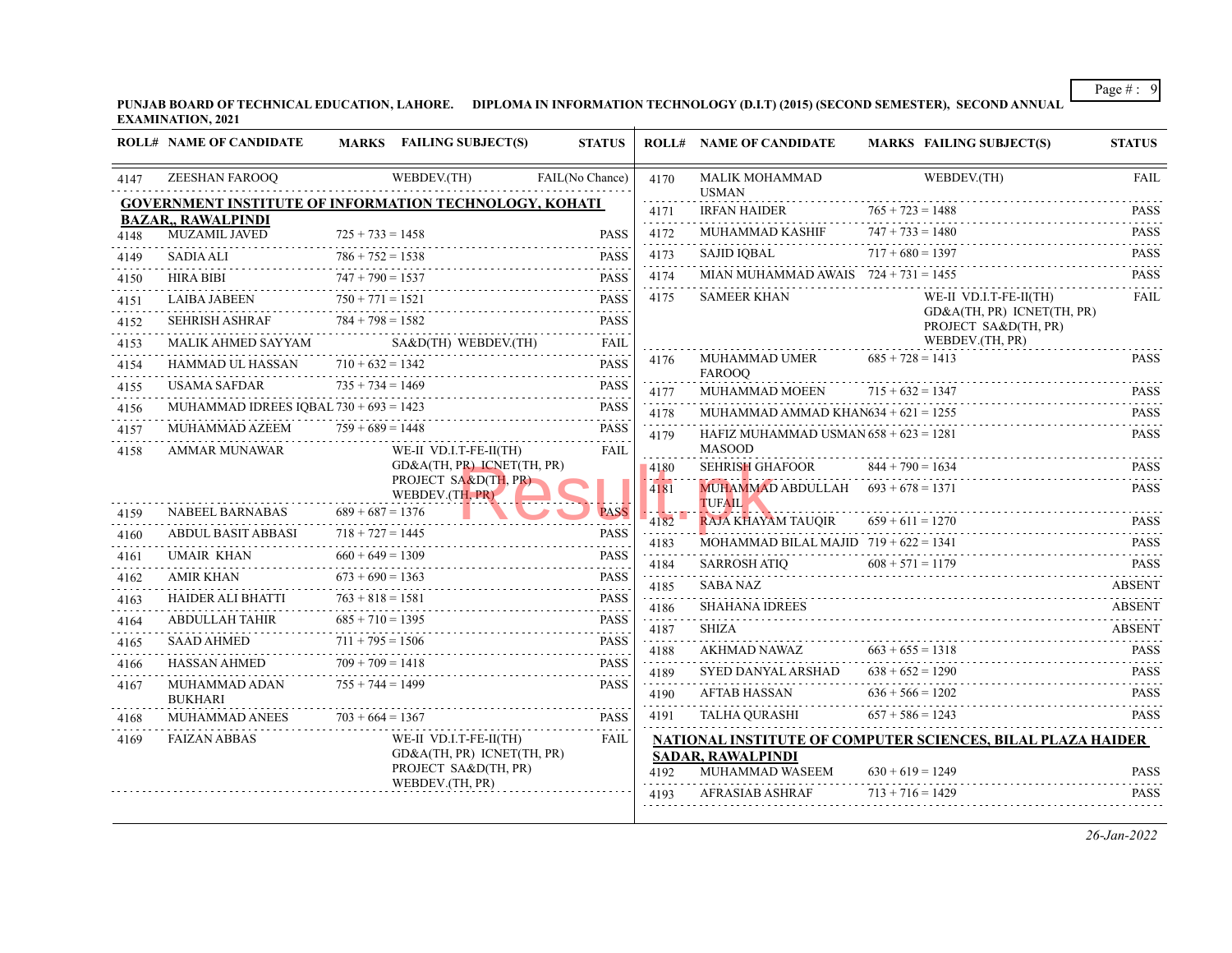**PUNJAB BOARD OF TECHNICAL EDUCATION, LAHORE. DIPLOMA IN INFORMATION TECHNOLOGY (D.I.T) (2015) (SECOND SEMESTER), SECOND ANNUAL EXAMINATION, 2021**

|           | <b>ROLL# NAME OF CANDIDATE</b>                                                             |                         | MARKS FAILING SUBJECT(S)                             | <b>STATUS</b>                                                                                                                                                                                                         |                                     | <b>ROLL# NAME OF CANDIDATE</b>                        | <b>MARKS FAILING SUBJECT(S)</b>                             | <b>STATUS</b>                                                       |
|-----------|--------------------------------------------------------------------------------------------|-------------------------|------------------------------------------------------|-----------------------------------------------------------------------------------------------------------------------------------------------------------------------------------------------------------------------|-------------------------------------|-------------------------------------------------------|-------------------------------------------------------------|---------------------------------------------------------------------|
| 4147      | ZEESHAN FAROOO                                                                             |                         | WEBDEV.(TH)                                          | FAIL(No Chance)                                                                                                                                                                                                       | 4170                                | <b>MALIK MOHAMMAD</b><br><b>USMAN</b>                 | WEBDEV.(TH)                                                 | <b>FAIL</b><br><u>.</u>                                             |
|           | <b>GOVERNMENT INSTITUTE OF INFORMATION TECHNOLOGY, KOHATI</b><br><b>BAZAR,, RAWALPINDI</b> |                         |                                                      |                                                                                                                                                                                                                       | 4171                                | <b>IRFAN HAIDER</b>                                   | $765 + 723 = 1488$                                          | <b>PASS</b>                                                         |
| 4148      | <b>MUZAMIL JAVED</b>                                                                       | $725 + 733 = 1458$      |                                                      | <b>PASS</b>                                                                                                                                                                                                           | .<br>4172                           | MUHAMMAD KASHIF                                       | $747 + 733 = 1480$                                          | <b>PASS</b><br>$- - - - - -$                                        |
| 4149      | <b>SADIA ALI</b>                                                                           | $786 + 752 = 1538$      |                                                      | <b>PASS</b>                                                                                                                                                                                                           | 4173                                | <b>SAJID IOBAL</b>                                    | $717 + 680 = 1397$                                          | <b>PASS</b><br>.                                                    |
| 4150      | <b>HIRA BIBI</b>                                                                           | $747 + 790 = 1537$      |                                                      | <b>PASS</b>                                                                                                                                                                                                           | 4174                                | MIAN MUHAMMAD AWAIS $724 + 731 = 1455$                |                                                             | <b>PASS</b>                                                         |
| 4151      | <b>LAIBA JABEEN</b>                                                                        | .<br>$750 + 771 = 1521$ |                                                      | <b>PASS</b>                                                                                                                                                                                                           | 4175                                | <b>SAMEER KHAN</b>                                    | WE-II VD.I.T-FE-II(TH)                                      | <b>FAIL</b>                                                         |
| 4152      | <b>SEHRISH ASHRAF</b>                                                                      | $784 + 798 = 1582$      |                                                      | <b>PASS</b>                                                                                                                                                                                                           |                                     |                                                       | GD&A(TH, PR) ICNET(TH, PR)<br>PROJECT SA&D(TH, PR)          |                                                                     |
| 4153      | MALIK AHMED SAYYAM                                                                         |                         | SA&D(TH) WEBDEV.(TH)                                 | <b>FAIL</b><br>.                                                                                                                                                                                                      |                                     |                                                       | WEBDEV.(TH, PR)                                             |                                                                     |
| 4154      | HAMMAD UL HASSAN                                                                           | $710 + 632 = 1342$      |                                                      | <b>PASS</b>                                                                                                                                                                                                           | 4176                                | MUHAMMAD UMER<br><b>FAROOO</b>                        | $685 + 728 = 1413$                                          | <b>PASS</b>                                                         |
| 4155      | <b>USAMA SAFDAR</b>                                                                        | $735 + 734 = 1469$      |                                                      | <b>PASS</b>                                                                                                                                                                                                           | 4177                                | MUHAMMAD MOEEN                                        | $715 + 632 = 1347$                                          | <b>PASS</b>                                                         |
| 4156      | MUHAMMAD IDREES IQBAL $730 + 693 = 1423$                                                   |                         |                                                      | <b>PASS</b><br>.                                                                                                                                                                                                      | and a state<br>4178                 | MUHAMMAD AMMAD KHAN $634 + 621 = 1255$                |                                                             | .<br><b>PASS</b>                                                    |
| 4157      | MUHAMMAD AZEEM                                                                             | $759 + 689 = 1448$      |                                                      | <b>PASS</b>                                                                                                                                                                                                           | 4179                                | HAFIZ MUHAMMAD USMAN $658 + 623 = 1281$               |                                                             | $\alpha$ , $\alpha$ , $\alpha$ , $\alpha$ , $\alpha$<br><b>PASS</b> |
| 4158      | <b>AMMAR MUNAWAR</b>                                                                       |                         | WE-II VD.I.T-FE-II(TH)<br>GD&A(TH, PR) ICNET(TH, PR) | <b>FAIL</b>                                                                                                                                                                                                           |                                     | <b>MASOOD</b>                                         |                                                             |                                                                     |
|           |                                                                                            |                         | PROJECT SA&D(TH, PR)                                 |                                                                                                                                                                                                                       | 14180                               | <b>SEHRISH GHAFOOR</b>                                | $844 + 790 = 1634$                                          | <b>PASS</b><br>111111                                               |
|           |                                                                                            |                         | WEBDEV.(TH, PR)                                      |                                                                                                                                                                                                                       | 4181                                | MUHAMMAD ABDULLAH $693 + 678 = 1371$<br><b>TUFAIL</b> |                                                             | <b>PASS</b>                                                         |
| 4159      | NABEEL BARNABAS                                                                            | $689 + 687 = 1376$      |                                                      | <b>PASS</b>                                                                                                                                                                                                           | 4182                                | <b>RAJA KHAYAM TAUQIR</b>                             | $659 + 611 = 1270$                                          | <b>PASS</b>                                                         |
| 4160<br>. | <b>ABDUL BASIT ABBASI</b>                                                                  | $718 + 727 = 1445$      |                                                      | <b>PASS</b>                                                                                                                                                                                                           | 4183                                | MOHAMMAD BILAL MAJID $719 + 622 = 1341$               |                                                             | <b>PASS</b>                                                         |
| 4161      | <b>UMAIR KHAN</b>                                                                          | $660 + 649 = 1309$      |                                                      | <b>PASS</b><br>.                                                                                                                                                                                                      | .<br>4184                           | <b>SARROSH ATIO</b>                                   | $608 + 571 = 1179$                                          | <b>PASS</b>                                                         |
| 4162      | AMIR KHAN                                                                                  | $673 + 690 = 1363$      |                                                      | <b>PASS</b><br>$- - - - - -$                                                                                                                                                                                          | .<br>4185<br>and a state            | <b>SABA NAZ</b>                                       |                                                             | <b>ABSENT</b>                                                       |
| 4163      | HAIDER ALI BHATTI                                                                          | $763 + 818 = 1581$      |                                                      | <b>PASS</b><br>- - - - -                                                                                                                                                                                              | 4186                                | <b>SHAHANA IDREES</b>                                 |                                                             | <b>ABSENT</b>                                                       |
| 4164      | ABDULLAH TAHIR                                                                             | $685 + 710 = 1395$      |                                                      | <b>PASS</b>                                                                                                                                                                                                           | 4187<br>$\sim$ $\sim$ $\sim$ $\sim$ | <b>SHIZA</b>                                          |                                                             | ABSENT                                                              |
| 4165      | <b>SAAD AHMED</b>                                                                          | $711 + 795 = 1506$      |                                                      | <b>PASS</b>                                                                                                                                                                                                           | 4188                                | AKHMAD NAWAZ                                          | $663 + 655 = 1318$                                          | <b>PASS</b>                                                         |
| 4166      | HASSAN AHMED                                                                               | $709 + 709 = 1418$      |                                                      | <b>PASS</b><br>$\mathcal{L}^{\mathcal{A}}\left( \mathcal{A}^{\mathcal{A}}\right) =\mathcal{L}^{\mathcal{A}}\left( \mathcal{A}^{\mathcal{A}}\right) =\mathcal{L}^{\mathcal{A}}\left( \mathcal{A}^{\mathcal{A}}\right)$ | 4189                                | SYED DANYAL ARSHAD                                    | $638 + 652 = 1290$                                          | <b>PASS</b><br>1.1.1.1.1                                            |
| 4167      | MUHAMMAD ADAN<br><b>BUKHARI</b>                                                            | $755 + 744 = 1499$      |                                                      | <b>PASS</b>                                                                                                                                                                                                           | 4190<br>.                           | <b>AFTAB HASSAN</b>                                   | $636 + 566 = 1202$                                          | <b>PASS</b>                                                         |
| 4168      | <b>MUHAMMAD ANEES</b>                                                                      | $703 + 664 = 1367$      |                                                      | <b>PASS</b>                                                                                                                                                                                                           | 4191                                | TALHA QURASHI                                         | $657 + 586 = 1243$                                          | <b>PASS</b>                                                         |
| 4169      | <b>FAIZAN ABBAS</b>                                                                        |                         | WE-II VD.I.T-FE-II(TH)                               | <b>FAIL</b>                                                                                                                                                                                                           |                                     |                                                       | NATIONAL INSTITUTE OF COMPUTER SCIENCES, BILAL PLAZA HAIDER |                                                                     |
|           |                                                                                            |                         | GD&A(TH, PR) ICNET(TH, PR)<br>PROJECT SA&D(TH, PR)   |                                                                                                                                                                                                                       | 4192                                | <b>SADAR, RAWALPINDI</b><br>MUHAMMAD WASEEM           | $630 + 619 = 1249$                                          | <b>PASS</b>                                                         |
|           |                                                                                            |                         | WEBDEV.(TH, PR)                                      |                                                                                                                                                                                                                       | 4193                                | <b>AFRASIAB ASHRAF</b>                                | $713 + 716 = 1429$                                          | <b>PASS</b>                                                         |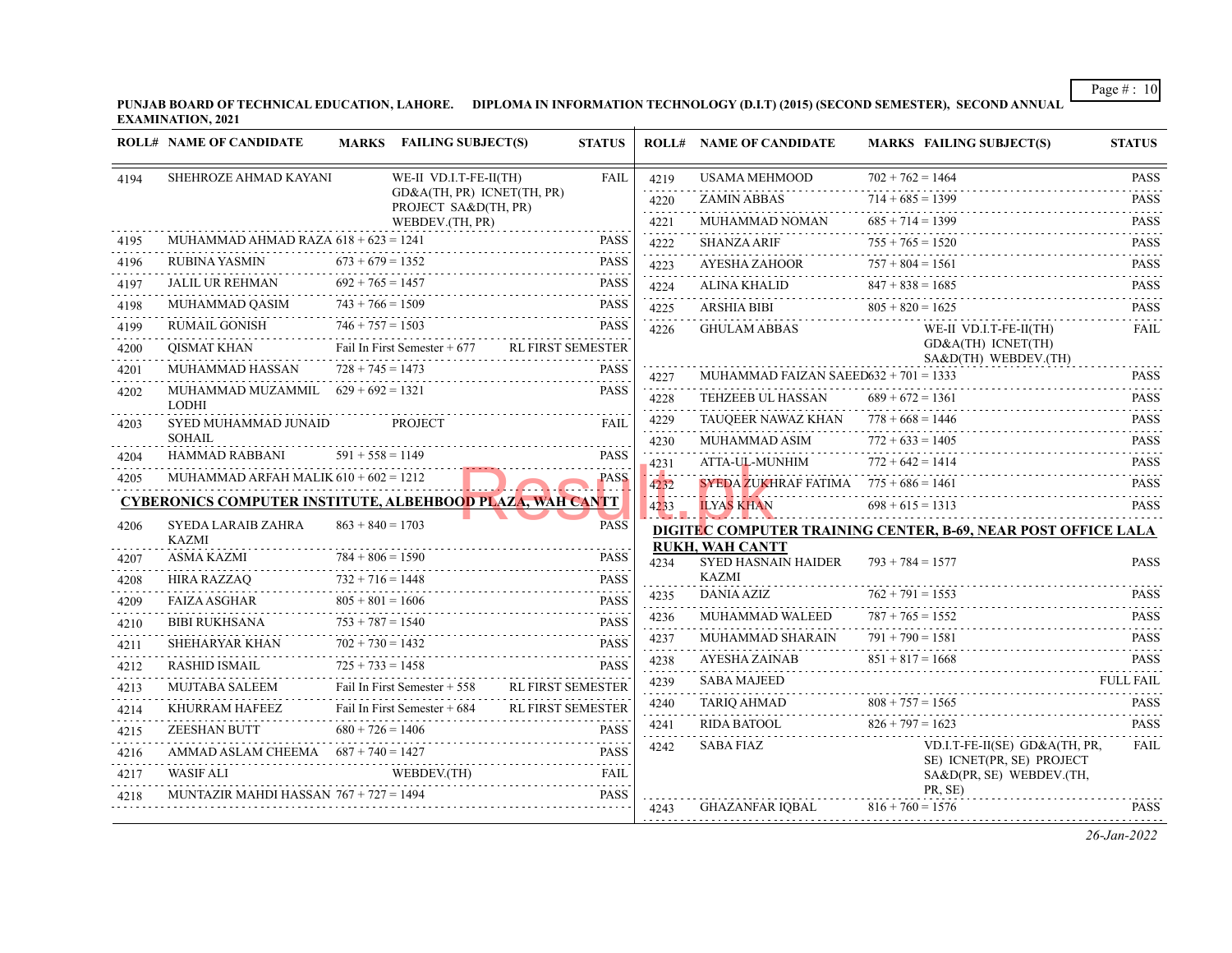**PUNJAB BOARD OF TECHNICAL EDUCATION, LAHORE. DIPLOMA IN INFORMATION TECHNOLOGY (D.I.T) (2015) (SECOND SEMESTER), SECOND ANNUAL EXAMINATION, 2021**

|      | <b>ROLL# NAME OF CANDIDATE</b>                                   |                         | MARKS FAILING SUBJECT(S)                           | <b>STATUS</b>            |               | <b>ROLL# NAME OF CANDIDATE</b>                       | <b>MARKS FAILING SUBJECT(S)</b>                                      | <b>STATUS</b>                                |
|------|------------------------------------------------------------------|-------------------------|----------------------------------------------------|--------------------------|---------------|------------------------------------------------------|----------------------------------------------------------------------|----------------------------------------------|
| 4194 | SHEHROZE AHMAD KAYANI                                            |                         | WE-II VD.I.T-FE-II(TH)                             | <b>FAIL</b>              | 4219          | <b>USAMA MEHMOOD</b>                                 | $702 + 762 = 1464$                                                   | <b>PASS</b>                                  |
|      |                                                                  |                         | GD&A(TH, PR) ICNET(TH, PR)<br>PROJECT SA&D(TH, PR) |                          | 4220          | <b>ZAMIN ABBAS</b>                                   | $714 + 685 = 1399$                                                   | <b>PASS</b>                                  |
|      |                                                                  |                         | WEBDEV.(TH, PR)                                    |                          | 4221          | MUHAMMAD NOMAN                                       | $685 + 714 = 1399$                                                   | <b>PASS</b>                                  |
| 4195 | MUHAMMAD AHMAD RAZA $618 + 623 = 1241$                           |                         |                                                    | <b>PASS</b>              | 4222          | <b>SHANZA ARIF</b>                                   | $755 + 765 = 1520$                                                   | <b>PASS</b>                                  |
| 4196 | RUBINA YASMIN                                                    | $673 + 679 = 1352$      |                                                    | <b>PASS</b>              | 4223          | AYESHA ZAHOOR                                        | $757 + 804 = 1561$                                                   | <b>PASS</b>                                  |
| 4197 | JALIL UR REHMAN                                                  | $692 + 765 = 1457$<br>. |                                                    | <b>PASS</b>              | 4224          | <b>ALINA KHALID</b>                                  | $847 + 838 = 1685$                                                   | <b>PASS</b>                                  |
| 4198 | MUHAMMAD QASIM                                                   | $743 + 766 = 1509$      |                                                    | <b>PASS</b>              | .<br>4225     | ARSHIA BIBI                                          | $805 + 820 = 1625$                                                   | $\omega$ is a set of $\omega$<br><b>PASS</b> |
| 4199 | RUMAIL GONISH                                                    | $746 + 757 = 1503$      |                                                    | <b>PASS</b>              | 4226          | <b>GHULAM ABBAS</b>                                  | WE-II VD.I.T-FE-II(TH)                                               | <b>FAIL</b>                                  |
| 4200 | QISMAT KHAN                                                      |                         | Fail In First Semester $+677$                      | <b>RL FIRST SEMESTER</b> |               |                                                      | GD&A(TH) ICNET(TH)<br>SA&D(TH) WEBDEV.(TH)                           |                                              |
| 4201 | MUHAMMAD HASSAN                                                  | $728 + 745 = 1473$      |                                                    | <b>PASS</b>              | 4227          | MUHAMMAD FAIZAN SAEED632 + $701 = 1333$              |                                                                      | .<br><b>PASS</b>                             |
| 4202 | MUHAMMAD MUZAMMIL $629 + 692 = 1321$<br><b>LODHI</b>             |                         |                                                    | <b>PASS</b>              | 4228          | TEHZEEB UL HASSAN                                    | $689 + 672 = 1361$                                                   | <b>PASS</b>                                  |
| 4203 | SYED MUHAMMAD JUNAID                                             |                         | <b>PROJECT</b>                                     | FAIL                     | 4229          | TAUQEER NAWAZ KHAN $778 + 668 = 1446$                |                                                                      | <b>PASS</b>                                  |
|      | <b>SOHAIL</b>                                                    |                         |                                                    |                          | 4230          | MUHAMMAD ASIM                                        | $772 + 633 = 1405$                                                   | <b>PASS</b><br>.                             |
| 4204 | HAMMAD RABBANI                                                   | $591 + 558 = 1149$      |                                                    | <b>PASS</b>              | 4231<br>and a | ATTA-UL-MUNHIM                                       | $772 + 642 = 1414$                                                   | <b>PASS</b>                                  |
| 4205 | MUHAMMAD ARFAH MALIK $610 + 602 = 1212$                          |                         |                                                    | <b>PASS</b>              | 4232          | SYEDA ZUKHRAF FATIMA $775 + 686 = 1461$              |                                                                      | <b>PASS</b><br>.                             |
|      | <b>CYBERONICS COMPUTER INSTITUTE, ALBEHBOOD PLAZA, WAH CANTT</b> |                         |                                                    |                          | 4233          | <b>ILYAS KHAN</b>                                    | $698 + 615 = 1313$                                                   | <b>PASS</b>                                  |
| 4206 | SYEDA LARAIB ZAHRA<br><b>KAZMI</b>                               | $863 + 840 = 1703$      |                                                    | <b>PASS</b>              |               |                                                      | <b>DIGITEC COMPUTER TRAINING CENTER, B-69, NEAR POST OFFICE LALA</b> |                                              |
| 4207 | ASMA KAZMI                                                       | $784 + 806 = 1590$      |                                                    | <b>PASS</b>              | 4234          | <b>RUKH, WAH CANTT</b><br><b>SYED HASNAIN HAIDER</b> | $793 + 784 = 1577$                                                   | <b>PASS</b>                                  |
| 4208 | HIRA RAZZAO                                                      | $732 + 716 = 1448$      |                                                    | <b>PASS</b>              |               | KAZMI                                                |                                                                      |                                              |
| 4209 | <b>FAIZA ASGHAR</b>                                              | $805 + 801 = 1606$      |                                                    | <b>PASS</b>              | 4235          | DANIA AZIZ                                           | $762 + 791 = 1553$                                                   | <b>PASS</b><br>2.2.2.2.2.1                   |
| 4210 | <b>BIBI RUKHSANA</b>                                             | $753 + 787 = 1540$      |                                                    | .<br><b>PASS</b>         | 4236<br>.     | MUHAMMAD WALEED                                      | $787 + 765 = 1552$                                                   | <b>PASS</b>                                  |
| 4211 | SHEHARYAR KHAN                                                   | $702 + 730 = 1432$      |                                                    | <b>PASS</b>              | 4237          | MUHAMMAD SHARAIN                                     | $791 + 790 = 1581$                                                   | <b>PASS</b><br>.                             |
| 4212 | RASHID ISMAIL                                                    | $725 + 733 = 1458$      |                                                    | <b>PASS</b>              | 4238          | AYESHA ZAINAB                                        | $851 + 817 = 1668$<br>AYESHA ZAINAB $851 + 817 = 1668$ PASS          |                                              |
| 4213 | <b>MUJTABA SALEEM</b>                                            |                         | Fail In First Semester + 558                       | <b>RL FIRST SEMESTER</b> | 4239          | <b>SABA MAJEED</b>                                   |                                                                      | <b>FULL FAIL</b>                             |
| 4214 | KHURRAM HAFEEZ                                                   |                         | Fail In First Semester + 684                       | <b>RL FIRST SEMESTER</b> | 4240          | TARIQ AHMAD                                          | $808 + 757 = 1565$                                                   | <b>PASS</b><br>$\omega$ is a direction.      |
| 4215 | ZEESHAN BUTT                                                     | $680 + 726 = 1406$      |                                                    | <b>PASS</b>              | 4241          | RIDA BATOOL                                          | $826 + 797 = 1623$                                                   | <b>PASS</b>                                  |
| 4216 | AMMAD ASLAM CHEEMA $687 + 740 = 1427$                            |                         |                                                    | <b>PASS</b>              | 4242          | SABA FIAZ                                            | VD.I.T-FE-II(SE) GD&A(TH, PR,<br>SE) ICNET(PR, SE) PROJECT           | <b>FAIL</b>                                  |
| 4217 | <b>WASIF ALI</b>                                                 |                         | WEBDEV.(TH)                                        | <b>FAIL</b>              |               |                                                      | SA&D(PR, SE) WEBDEV.(TH,                                             |                                              |
| 4218 | MUNTAZIR MAHDI HASSAN $767 + 727 = 1494$                         |                         |                                                    | <b>PASS</b>              | 4243          | GHAZANFAR IOBAL                                      | PR, SE)<br>$816 + 760 = 1576$                                        | <b>PASS</b>                                  |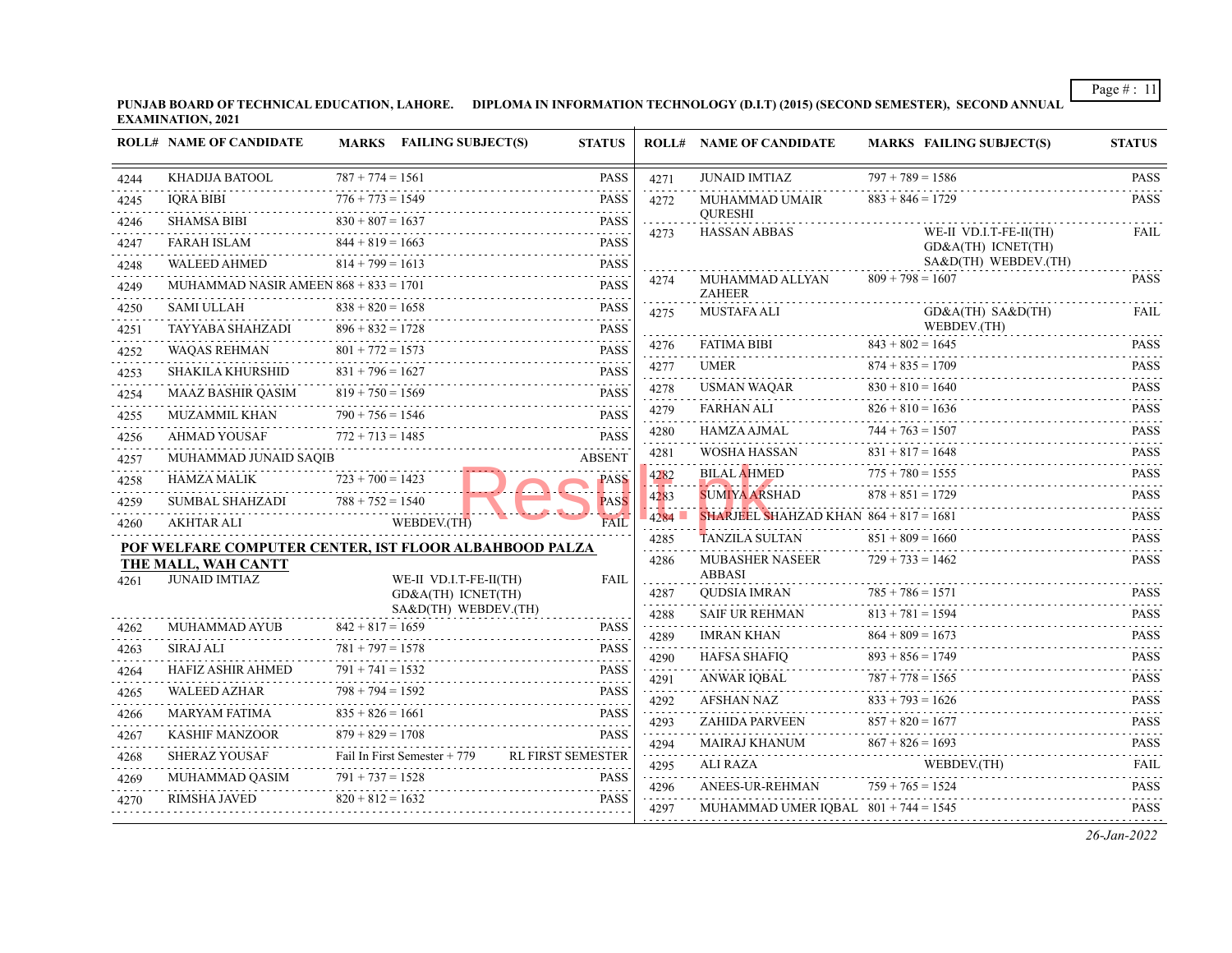**PUNJAB BOARD OF TECHNICAL EDUCATION, LAHORE. DIPLOMA IN INFORMATION TECHNOLOGY (D.I.T) (2015) (SECOND SEMESTER), SECOND ANNUAL EXAMINATION, 2021**

|      | <b>ROLL# NAME OF CANDIDATE</b>                         |                         | MARKS FAILING SUBJECT(S)                     | <b>STATUS</b>            |                                                                                                                                                                                      | <b>ROLL# NAME OF CANDIDATE</b>           | <b>MARKS FAILING SUBJECT(S)</b>            | <b>STATUS</b>                                                                                                                                       |
|------|--------------------------------------------------------|-------------------------|----------------------------------------------|--------------------------|--------------------------------------------------------------------------------------------------------------------------------------------------------------------------------------|------------------------------------------|--------------------------------------------|-----------------------------------------------------------------------------------------------------------------------------------------------------|
| 4244 | KHADIJA BATOOL                                         | $787 + 774 = 1561$      |                                              | <b>PASS</b>              | 4271                                                                                                                                                                                 | <b>JUNAID IMTIAZ</b>                     | $797 + 789 = 1586$                         | <b>PASS</b>                                                                                                                                         |
| 4245 | <b>IQRA BIBI</b>                                       | $776 + 773 = 1549$<br>. |                                              | <b>PASS</b>              | 4272                                                                                                                                                                                 | MUHAMMAD UMAIR                           | $883 + 846 = 1729$                         | <b>PASS</b>                                                                                                                                         |
| 4246 | SHAMSA BIBI                                            | $830 + 807 = 1637$      |                                              | <b>PASS</b>              | 4273                                                                                                                                                                                 | <b>OURESHI</b><br><b>HASSAN ABBAS</b>    | WE-II VD.I.T-FE-II(TH)                     | <b>FAIL</b>                                                                                                                                         |
| 4247 | <b>FARAH ISLAM</b>                                     | $844 + 819 = 1663$      |                                              | <b>PASS</b>              |                                                                                                                                                                                      |                                          | GD&A(TH) ICNET(TH)                         |                                                                                                                                                     |
| 4248 | <b>WALEED AHMED</b>                                    | $814 + 799 = 1613$      |                                              | <b>PASS</b><br>.         | 4274                                                                                                                                                                                 | MUHAMMAD ALLYAN                          | SA&D(TH) WEBDEV.(TH)<br>$809 + 798 = 1607$ | <b>PASS</b>                                                                                                                                         |
| 4249 | MUHAMMAD NASIR AMEEN $868 + 833 = 1701$                |                         |                                              | <b>PASS</b>              |                                                                                                                                                                                      | <b>ZAHEER</b>                            |                                            |                                                                                                                                                     |
| 4250 | SAMI ULLAH                                             | $838 + 820 = 1658$      |                                              | <b>PASS</b>              | 4275                                                                                                                                                                                 | <b>MUSTAFA ALI</b>                       | GD&A(TH) SA&D(TH)                          | <b>FAIL</b>                                                                                                                                         |
| 4251 | TAYYABA SHAHZADI                                       | $896 + 832 = 1728$      |                                              | <b>PASS</b>              |                                                                                                                                                                                      | <b>FATIMA BIBI</b>                       | WEBDEV.(TH)<br>$843 + 802 = 1645$          | <b>PASS</b>                                                                                                                                         |
| 4252 | <b>WAQAS REHMAN</b>                                    | $801 + 772 = 1573$      |                                              | <b>PASS</b>              | 4276<br>.                                                                                                                                                                            | <b>UMER</b>                              | $874 + 835 = 1709$                         | .                                                                                                                                                   |
| 4253 | SHAKILA KHURSHID                                       | $831 + 796 = 1627$      |                                              | <b>PASS</b>              | 4277                                                                                                                                                                                 |                                          | .                                          | <b>PASS</b><br>.                                                                                                                                    |
| 4254 | <b>MAAZ BASHIR QASIM</b>                               | $819 + 750 = 1569$<br>. |                                              | <b>PASS</b>              | 4278                                                                                                                                                                                 | <b>USMAN WAQAR</b>                       | $830 + 810 = 1640$                         | <b>PASS</b><br>$\mathcal{L}^{\mathcal{A}}\left( \mathcal{A}^{\mathcal{A}}\right) =\mathcal{L}^{\mathcal{A}}\left( \mathcal{A}^{\mathcal{A}}\right)$ |
| 4255 | <b>MUZAMMIL KHAN</b>                                   | $790 + 756 = 1546$<br>. |                                              | <b>PASS</b>              | 4279                                                                                                                                                                                 | FARHAN ALI                               | $826 + 810 = 1636$                         | <b>PASS</b>                                                                                                                                         |
| 4256 | AHMAD YOUSAF                                           | $772 + 713 = 1485$      |                                              | <b>PASS</b>              | 4280                                                                                                                                                                                 | HAMZA AJMAL                              | $744 + 763 = 1507$                         | <b>PASS</b><br>.                                                                                                                                    |
| 4257 | MUHAMMAD JUNAID SAQIB                                  |                         |                                              | <b>ABSENT</b>            | 4281                                                                                                                                                                                 | WOSHA HASSAN                             | $831 + 817 = 1648$                         | <b>PASS</b><br>.                                                                                                                                    |
| 4258 | <b>HAMZA MALIK</b>                                     | $723 + 700 = 1423$      |                                              | PASS                     | 4282<br>.                                                                                                                                                                            | <b>BILAL AHMED</b>                       | $775 + 780 = 1555$                         | <b>PASS</b><br>$\sim$ $\sim$ $\sim$ $\sim$ $\sim$                                                                                                   |
| 4259 | <b>SUMBAL SHAHZADI</b>                                 | $788 + 752 = 1540$      |                                              | <b>PASS</b>              | 4283<br>.                                                                                                                                                                            | <b>SUMIYA ARSHAD</b>                     | $878 + 851 = 1729$                         | <b>PASS</b><br>.                                                                                                                                    |
| 4260 | AKHTAR ALI                                             |                         | WEBDEV.(TH)                                  | FAIL                     | 4284                                                                                                                                                                                 | SHARJEEL SHAHZAD KHAN $864 + 817 = 1681$ |                                            | <b>PASS</b><br>.                                                                                                                                    |
|      | POF WELFARE COMPUTER CENTER, IST FLOOR ALBAHBOOD PALZA |                         |                                              |                          | 4285                                                                                                                                                                                 | <b>TANZILA SULTAN</b>                    | $851 + 809 = 1660$                         | <b>PASS</b>                                                                                                                                         |
|      | THE MALL, WAH CANTT                                    |                         |                                              |                          | 4286                                                                                                                                                                                 | <b>MUBASHER NASEER</b><br><b>ABBASI</b>  | $729 + 733 = 1462$                         | <b>PASS</b>                                                                                                                                         |
| 4261 | <b>JUNAID IMTIAZ</b>                                   |                         | WE-II VD.I.T-FE-II(TH)<br>GD&A(TH) ICNET(TH) | <b>FAIL</b>              | 4287                                                                                                                                                                                 | <b>QUDSIA IMRAN</b>                      | $785 + 786 = 1571$                         | <b>PASS</b>                                                                                                                                         |
|      |                                                        |                         | SA&D(TH) WEBDEV.(TH)                         |                          | .<br>4288                                                                                                                                                                            | SAIF UR REHMAN                           | $813 + 781 = 1594$                         | <b>PASS</b>                                                                                                                                         |
| 4262 | MUHAMMAD AYUB                                          | $842 + 817 = 1659$      |                                              | <b>PASS</b>              | .<br>4289                                                                                                                                                                            | <b>IMRAN KHAN</b>                        | $864 + 809 = 1673$                         | .<br><b>PASS</b>                                                                                                                                    |
| 4263 | SIRAJ ALI                                              | $781 + 797 = 1578$      |                                              | <b>PASS</b>              | .<br>4290                                                                                                                                                                            | <b>HAFSA SHAFIQ</b>                      | $893 + 856 = 1749$                         | <b>PASS</b>                                                                                                                                         |
| 4264 | HAFIZ ASHIR AHMED                                      | $791 + 741 = 1532$      |                                              | <b>PASS</b>              | $\mathcal{L}^{\mathcal{A}}\left( \mathcal{L}^{\mathcal{A}}\left( \mathcal{L}^{\mathcal{A}}\right) \right) =\mathcal{L}^{\mathcal{A}}\left( \mathcal{L}^{\mathcal{A}}\right)$<br>4291 | ANWAR IQBAL                              | $787 + 778 = 1565$                         | .<br><b>PASS</b>                                                                                                                                    |
| 4265 | <b>WALEED AZHAR</b>                                    | $798 + 794 = 1592$      |                                              | <b>PASS</b>              | .<br>4292                                                                                                                                                                            | AFSHAN NAZ                               | $833 + 793 = 1626$                         | .<br><b>PASS</b>                                                                                                                                    |
| 4266 | <b>MARYAM FATIMA</b>                                   | $835 + 826 = 1661$      |                                              | <b>PASS</b>              | 4293                                                                                                                                                                                 | ZAHIDA PARVEEN                           | $857 + 820 = 1677$                         | <b>PASS</b>                                                                                                                                         |
| 4267 | <b>KASHIF MANZOOR</b>                                  | $879 + 829 = 1708$      |                                              | <b>PASS</b>              | 4294                                                                                                                                                                                 | <b>MAIRAJ KHANUM</b>                     | $867 + 826 = 1693$                         | <b>PASS</b>                                                                                                                                         |
| 4268 | <b>SHERAZ YOUSAF</b>                                   |                         | Fail In First Semester + 779                 | <b>RL FIRST SEMESTER</b> | الداعات عالما<br>4295                                                                                                                                                                | ALI RAZA                                 | WEBDEV.(TH)                                | 2.12.2.1<br><b>FAIL</b>                                                                                                                             |
| 4269 | MUHAMMAD QASIM<br>.                                    | $791 + 737 = 1528$      |                                              | <b>PASS</b>              | د د د د د<br>4296                                                                                                                                                                    | ANEES-UR-REHMAN                          | $759 + 765 = 1524$                         | .<br><b>PASS</b>                                                                                                                                    |
| 4270 | RIMSHA JAVED                                           | $820 + 812 = 1632$      |                                              | <b>PASS</b>              | 4297                                                                                                                                                                                 | MUHAMMAD UMER IOBAL $801 + 744 = 1545$   |                                            | .<br><b>PASS</b>                                                                                                                                    |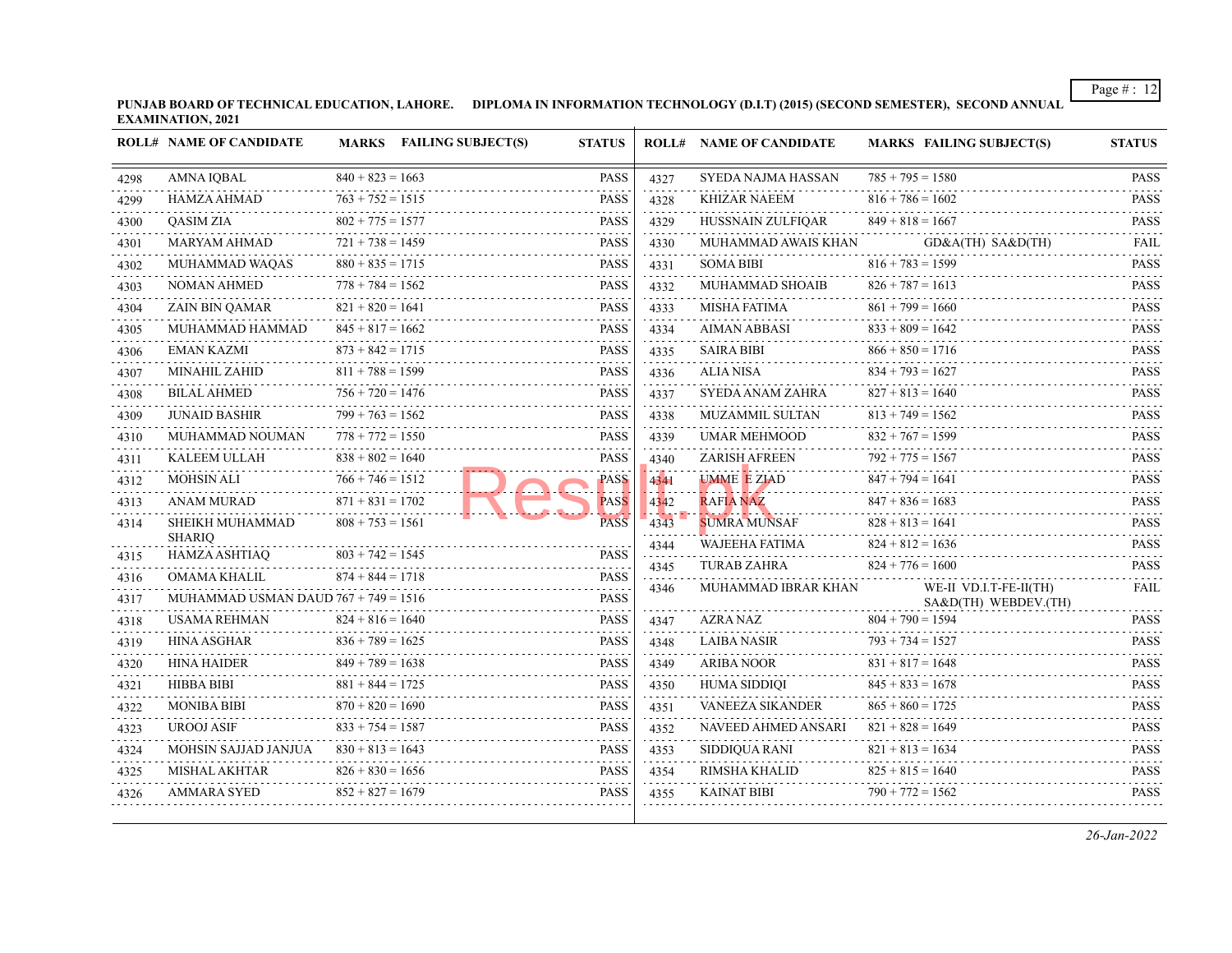**PUNJAB BOARD OF TECHNICAL EDUCATION, LAHORE. DIPLOMA IN INFORMATION TECHNOLOGY (D.I.T) (2015) (SECOND SEMESTER), SECOND ANNUAL EXAMINATION, 2021**

|      | <b>ROLL# NAME OF CANDIDATE</b>         |                         | MARKS FAILING SUBJECT(S) | <b>STATUS</b>               |                      | <b>ROLL# NAME OF CANDIDATE</b>                                                                                                              | <b>MARKS FAILING SUBJECT(S)</b>                | <b>STATUS</b>                            |
|------|----------------------------------------|-------------------------|--------------------------|-----------------------------|----------------------|---------------------------------------------------------------------------------------------------------------------------------------------|------------------------------------------------|------------------------------------------|
| 4298 | <b>AMNA IOBAL</b>                      | $840 + 823 = 1663$      |                          | <b>PASS</b>                 | 4327                 | SYEDA NAJMA HASSAN                                                                                                                          | $785 + 795 = 1580$<br>.                        | <b>PASS</b>                              |
| 4299 | HAMZA AHMAD                            | $763 + 752 = 1515$      |                          | $-1 - 1 - 1$<br><b>PASS</b> | $-1 - 1 - 1$<br>4328 | <b>KHIZAR NAEEM</b>                                                                                                                         | $816 + 786 = 1602$                             | <b>PASS</b>                              |
| 4300 | <b>OASIM ZIA</b>                       | $802 + 775 = 1577$      |                          | <b>PASS</b>                 | 4329                 | HUSSNAIN ZULFIQAR                                                                                                                           | $849 + 818 = 1667$                             | .<br><b>PASS</b>                         |
| 4301 | <b>MARYAM AHMAD</b>                    | $721 + 738 = 1459$      |                          | <b>PASS</b><br>.            | 4330                 | MUHAMMAD AWAIS KHAN                                                                                                                         | GD&A(TH) SA&D(TH)                              | <b>FAIL</b>                              |
| 4302 | MUHAMMAD WAQAS                         | .<br>$880 + 835 = 1715$ |                          | <b>PASS</b>                 | .<br>4331            | <b>SOMA BIBI</b>                                                                                                                            | $816 + 783 = 1599$                             | .<br><b>PASS</b><br>.                    |
| 4303 | NOMAN AHMED                            | $778 + 784 = 1562$<br>. |                          | <b>PASS</b>                 | 4332                 | MUHAMMAD SHOAIB                                                                                                                             | $826 + 787 = 1613$                             | <b>PASS</b>                              |
| 4304 | <b>ZAIN BIN OAMAR</b>                  | $821 + 820 = 1641$      |                          | <b>PASS</b>                 | 4333                 | <b>MISHA FATIMA</b>                                                                                                                         | $861 + 799 = 1660$                             | <b>PASS</b>                              |
| 4305 | MUHAMMAD HAMMAD                        | $845 + 817 = 1662$      |                          | <b>PASS</b>                 | .<br>4334            | <b>AIMAN ABBASI</b>                                                                                                                         | $833 + 809 = 1642$                             | .<br><b>PASS</b><br>.                    |
| 4306 | <b>EMAN KAZMI</b>                      | $873 + 842 = 1715$      |                          | <b>PASS</b>                 | 4335                 | <b>SAIRA BIBI</b>                                                                                                                           | $866 + 850 = 1716$                             | <b>PASS</b><br>.                         |
| 4307 | <b>MINAHIL ZAHID</b>                   | $811 + 788 = 1599$      |                          | <b>PASS</b>                 | 4336                 | <b>ALIA NISA</b>                                                                                                                            | $834 + 793 = 1627$                             | <b>PASS</b>                              |
| 4308 | <b>BILAL AHMED</b>                     | $756 + 720 = 1476$      |                          | <b>PASS</b>                 | 4337                 | SYEDA ANAM ZAHRA                                                                                                                            | $827 + 813 = 1640$                             | <b>PASS</b><br>.                         |
| 4309 | <b>JUNAID BASHIR</b>                   | $799 + 763 = 1562$      |                          | <b>PASS</b>                 | 4338                 | MUZAMMIL SULTAN                                                                                                                             | $813 + 749 = 1562$                             | <b>PASS</b><br>.                         |
| 4310 | MUHAMMAD NOUMAN                        | $778 + 772 = 1550$      |                          | <b>PASS</b>                 | 4339                 | <b>UMAR MEHMOOD</b>                                                                                                                         | $832 + 767 = 1599$                             | <b>PASS</b>                              |
| 4311 | KALEEM ULLAH                           | $838 + 802 = 1640$      |                          | <b>PASS</b>                 | 4340                 | ZARISH AFREEN                                                                                                                               | $792 + 775 = 1567$                             | <b>PASS</b><br>.                         |
| 4312 | <b>MOHSIN ALI</b>                      | $766 + 746 = 1512$      |                          | <b>PASS</b><br>l            | 4341<br>JU JU        | <b>UMME E ZIAD</b><br>$\mathbf{L}$ , $\mathbf{L}$ , $\mathbf{L}$ , $\mathbf{L}$ , $\mathbf{L}$ , $\mathbf{L}$ , $\mathbf{L}$ , $\mathbf{L}$ | $847 + 794 = 1641$                             | <b>PASS</b>                              |
| 4313 | ANAM MURAD                             | $871 + 831 = 1702$      |                          | <b>PASS</b>                 | 4342                 | <b>RAFIA NAZ</b>                                                                                                                            | $847 + 836 = 1683$                             | <b>PASS</b>                              |
| 4314 | SHEIKH MUHAMMAD                        | $808 + 753 = 1561$      |                          | <b>PASS</b>                 | 4343                 | <b>SUMRA MUNSAF</b>                                                                                                                         | $828 + 813 = 1641$                             | <b>PASS</b>                              |
| 4315 | <b>SHARIO</b><br><b>HAMZA ASHTIAO</b>  | $803 + 742 = 1545$      |                          | <b>PASS</b>                 | 4344                 | WAJEEHA FATIMA                                                                                                                              | $824 + 812 = 1636$                             | <b>PASS</b>                              |
| 4316 | <b>OMAMA KHALIL</b>                    | $874 + 844 = 1718$      |                          | <b>PASS</b>                 | 4345                 | <b>TURAB ZAHRA</b>                                                                                                                          | $824 + 776 = 1600$                             | <b>PASS</b><br>$\omega$ is $\omega$ in . |
| 4317 | MUHAMMAD USMAN DAUD $767 + 749 = 1516$ |                         |                          | <b>PASS</b>                 | 4346                 | MUHAMMAD IBRAR KHAN                                                                                                                         | WE-II VD.I.T-FE-II(TH)<br>SA&D(TH) WEBDEV.(TH) | <b>FAIL</b>                              |
| 4318 | <b>USAMA REHMAN</b>                    | $824 + 816 = 1640$      |                          | <b>PASS</b>                 | 4347                 | AZRA NAZ                                                                                                                                    | $804 + 790 = 1594$                             | <b>PASS</b>                              |
| 4319 | <b>HINA ASGHAR</b>                     | $836 + 789 = 1625$      |                          | PASS                        | 4348                 | <b>LAIBA NASIR</b>                                                                                                                          | $793 + 734 = 1527$                             | <b>PASS</b>                              |
| 4320 | <b>HINA HAIDER</b>                     | $849 + 789 = 1638$      |                          | <b>PASS</b>                 | .<br>4349            | ARIBA NOOR                                                                                                                                  | $831 + 817 = 1648$                             | .<br><b>PASS</b>                         |
| 4321 | HIBBA BIBI                             | $881 + 844 = 1725$      |                          | <b>PASS</b>                 | 4350                 | <b>HUMA SIDDIQI</b>                                                                                                                         | $845 + 833 = 1678$                             | .<br><b>PASS</b>                         |
| 4322 | <b>MONIBA BIBI</b>                     | $870 + 820 = 1690$      |                          | <b>PASS</b>                 | 4351                 | <b>VANEEZA SIKANDER</b>                                                                                                                     | $865 + 860 = 1725$                             | <b>PASS</b>                              |
| 4323 | <b>UROOJ ASIF</b>                      | $833 + 754 = 1587$      |                          | <b>PASS</b>                 | 4352                 | NAVEED AHMED ANSARI                                                                                                                         | $821 + 828 = 1649$                             | <b>PASS</b>                              |
| 4324 | MOHSIN SAJJAD JANJUA                   | $830 + 813 = 1643$<br>. |                          | <b>PASS</b>                 | 4353                 | SIDDIQUA RANI                                                                                                                               | $821 + 813 = 1634$                             | .<br><b>PASS</b>                         |
| 4325 | <b>MISHAL AKHTAR</b>                   | $826 + 830 = 1656$      |                          | PASS                        | 4354                 | RIMSHA KHALID                                                                                                                               | $825 + 815 = 1640$                             | <b>PASS</b>                              |
| 4326 | <b>AMMARA SYED</b>                     | $852 + 827 = 1679$      |                          | <b>PASS</b>                 | 4355                 | <b>KAINAT BIBI</b>                                                                                                                          | $790 + 772 = 1562$                             | <b>PASS</b>                              |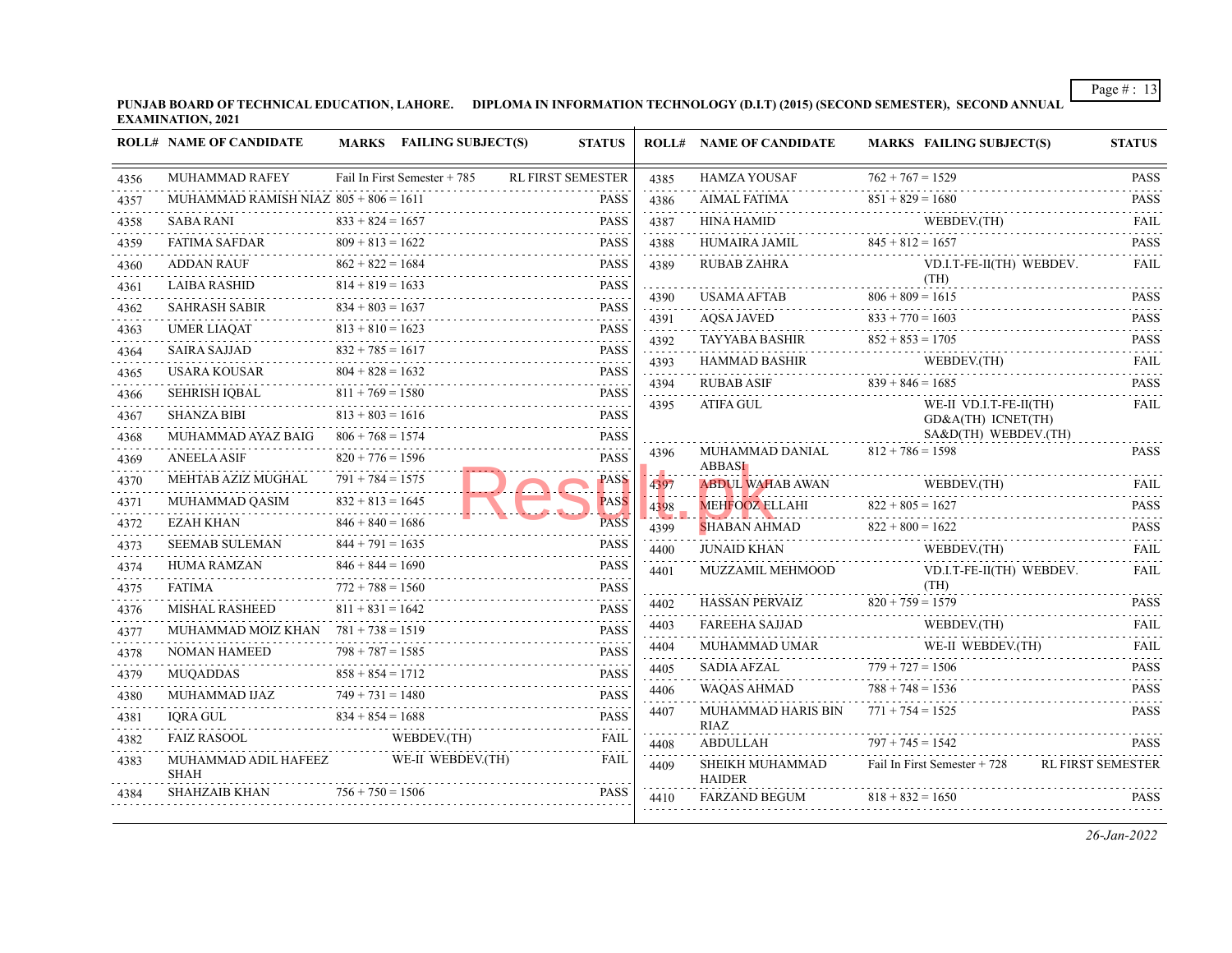**PUNJAB BOARD OF TECHNICAL EDUCATION, LAHORE. DIPLOMA IN INFORMATION TECHNOLOGY (D.I.T) (2015) (SECOND SEMESTER), SECOND ANNUAL EXAMINATION, 2021**

|              | <b>ROLL# NAME OF CANDIDATE</b>                                |                                          | MARKS FAILING SUBJECT(S)     | <b>STATUS</b>                                 |                           | <b>ROLL# NAME OF CANDIDATE</b>        | <b>MARKS FAILING SUBJECT(S)</b>                                                                                                                                                                                                                                                                                                                                            | <b>STATUS</b>                    |
|--------------|---------------------------------------------------------------|------------------------------------------|------------------------------|-----------------------------------------------|---------------------------|---------------------------------------|----------------------------------------------------------------------------------------------------------------------------------------------------------------------------------------------------------------------------------------------------------------------------------------------------------------------------------------------------------------------------|----------------------------------|
| 4356         | <b>MUHAMMAD RAFEY</b>                                         |                                          | Fail In First Semester + 785 | <b>RL FIRST SEMESTER</b>                      | 4385<br>.                 |                                       | $762 + 767 = 1529$<br>HAMZA YOUSAF $762 + 767 = 1529$ PASS                                                                                                                                                                                                                                                                                                                 |                                  |
| 4357         | MUHAMMAD RAMISH NIAZ $805 + 806 = 1611$                       |                                          |                              | <b>PASS</b><br>التفقيقات                      | 4386                      |                                       | AIMAL FATIMA $851 + 829 = 1680$ PASS                                                                                                                                                                                                                                                                                                                                       |                                  |
| 4358         | SABA RANI                                                     | $833 + 824 = 1657$                       |                              | <b>PASS</b>                                   | 4387                      |                                       | WEBDEV.(TH)<br>HINA HAMID WEBDEV.(TH) FAIL                                                                                                                                                                                                                                                                                                                                 |                                  |
| 4359         | <b>FATIMA SAFDAR</b><br>FATIMA SAFDAR $809 + 813 = 1622$ PASS | $809 + 813 = 1622$                       |                              | <b>PASS</b>                                   |                           |                                       | $845 + 812 = 1657$<br>4388 HUMAIRA JAMIL $845 + 812 = 1657$ PASS                                                                                                                                                                                                                                                                                                           |                                  |
| 4360         | <b>ADDAN RAUF</b>                                             | $862 + 822 = 1684$                       |                              | <b>PASS</b><br>بالمتمامي                      | 4389                      | <b>RUBAB ZAHRA</b>                    | VD.I.T-FE-II(TH) WEBDEV.                                                                                                                                                                                                                                                                                                                                                   | FAIL                             |
| 4361         | LAIBA RASHID $814 + 819 = 1633$ PASS                          | $814 + 819 = 1633$                       |                              | <b>PASS</b>                                   | .<br>4390                 |                                       | (TH)                                                                                                                                                                                                                                                                                                                                                                       | <b>PASS</b>                      |
| 4362         | SAHRASH SABIR $834 + 803 = 1637$ PASS                         | $834 + 803 = 1637$                       |                              |                                               | .<br>4391                 | AQSA JAVED $833 + 770 = 1603$         | USAMA AFTAB $806 + 809 = 1615$                                                                                                                                                                                                                                                                                                                                             | <b>Contractor</b><br><b>PASS</b> |
| 4363         | <b>UMER LIAQAT</b>                                            | $813 + 810 = 1623$                       |                              | $813 + 810 = 1623$ PASS                       | .<br>4392                 |                                       |                                                                                                                                                                                                                                                                                                                                                                            | <b>PASS</b>                      |
| 4364         | <b>SAIRA SAJJAD</b>                                           | $832 + 785 = 1617$                       |                              | <b>PASS</b>                                   | .<br>4393                 |                                       | TAYYABA BASHIR $852 + 853 = 1705$                                                                                                                                                                                                                                                                                                                                          |                                  |
| 4365         | USARA KOUSAR                                                  | $804 + 828 = 1632$                       |                              | <b>PASS</b>                                   | .<br>4394                 | an an Sala                            | $\begin{tabular}{llllll} \multicolumn{2}{l}{{\bf HAMMAD BASHIR}} & \multicolumn{2}{l}{{\bf WEDDEV(TH)}} & \multicolumn{2}{l}{\bf FAIL} \\ \multicolumn{2}{l}{\bf RUBAB ASIF} & \multicolumn{2}{l}{839+846=1685} & \multicolumn{2}{l}{\bf PASS} \\ \multicolumn{2}{l}{\bf RUBAB ASIF} & \multicolumn{2}{l}{\bf RUBAB ASIF} & \multicolumn{2}{l}{\bf PASS} \\ \end{tabular}$ |                                  |
| 4366         | SEHRISH IQBAL                                                 | $811 + 769 = 1580$                       |                              | <b>PASS</b><br>.                              | .<br>4395                 | ATIFA GUL                             | WE-II VD.I.T-FE-II(TH)                                                                                                                                                                                                                                                                                                                                                     | <b>FAIL</b>                      |
| 4367         | <b>SHANZA BIBI</b>                                            | $813 + 803 = 1616$                       |                              | <b>PASS</b><br>$13 + 803 = 1616$ PASS         |                           |                                       | GD&A(TH) ICNET(TH)                                                                                                                                                                                                                                                                                                                                                         |                                  |
| 4368         | MUHAMMAD AYAZ BAIG $806 + 768 = 1574$                         |                                          |                              | <b>PASS</b>                                   |                           |                                       | SA&D(TH) WEBDEV.(TH)                                                                                                                                                                                                                                                                                                                                                       |                                  |
| 4369         | <b>ANEELA ASIF</b>                                            | $820 + 776 = 1596$<br>.                  |                              | <b>PASS</b>                                   | 4396                      | MUHAMMAD DANIAL<br><b>ABBASI</b>      | $812 + 786 = 1598$                                                                                                                                                                                                                                                                                                                                                         | <b>PASS</b>                      |
| 4370         | MEHTAB AZIZ MUGHAL                                            | $791 + 784 = 1575$                       |                              | PASS                                          | -44<br>4397               | <b>ABDUL WAHAB AWAN</b>               | WEBDEV.(TH)<br>WEBDEV.(TH)                                                                                                                                                                                                                                                                                                                                                 | FAIL                             |
| 4371         | MUHAMMAD QASIM                                                | $832 + 813 = 1645$<br>.                  |                              | <b>PASS</b>                                   | 4398                      |                                       | $822 + 805 = 1627$<br>MEHFOOZ ELLAHI $822 + 805 = 1627$                                                                                                                                                                                                                                                                                                                    | <b>PASS</b>                      |
| 4372         | <b>EZAH KHAN</b>                                              | $846 + 840 = 1686$                       |                              | <b>PASS</b>                                   | <b>STATISTICS</b><br>4399 |                                       | $822 + 800 = 1622$<br>SHABAN AHMAD $822 + 800 = 1622$ PASS                                                                                                                                                                                                                                                                                                                 | $\sim$                           |
| 4373         | SEEMAB SULEMAN                                                | $844 + 791 = 1635$                       |                              | <b>PASS</b>                                   | 4400                      | JUNAID KHAN                           | WEBDEV.(TH)                                                                                                                                                                                                                                                                                                                                                                | <b>FAIL</b>                      |
| 4374         | HUMA RAMZAN $846 + 844 = 1690$                                | $846 + 844 = 1690$<br>$772 + 788 = 1560$ |                              | <b>PASS</b><br>.                              | 4401                      | MUZZAMIL MEHMOOD                      | VD.I.T-FE-II(TH) WEBDEV.<br>(TH)                                                                                                                                                                                                                                                                                                                                           | <b>FAIL</b>                      |
| 4375         | <b>FATIMA</b>                                                 |                                          |                              | <b>PASS</b><br><b>PASS</b>                    | 4402                      |                                       | HASSAN PERVAIZ $820 + 759 = 1579$ PASS                                                                                                                                                                                                                                                                                                                                     |                                  |
| 4376         | MISHAL RASHEED<br>MUHAMMAD MOIZ KHAN $781 + 738 = 1519$       | $811 + 831 = 1642$                       |                              | $- - - - - -$<br><b>PASS</b>                  | 4403                      |                                       | FAREEHA SAJJAD WEBDEV.(TH) FAIL WEBDEV. THE CONTRACT CONTRACT THE CONTRACT OF THE CONTRACT OF THE CONTRACT CONTRACT CONTRACT CONTRACT CONTRACT CONTRACT CONTRACT CONTRACT CONTRACT CONTRACT CONTRACT CONTRACT CONTRACT CONTRA                                                                                                                                              |                                  |
| 4377         | <b>NOMAN HAMEED</b>                                           | $798 + 787 = 1585$                       |                              | <b>PASS</b>                                   | .<br>4404                 |                                       | MUHAMMAD UMAR WE-II WEBDEV(TH)<br>$WE-H WEBDEV(TH)$                                                                                                                                                                                                                                                                                                                        | FAIL                             |
| 4378         |                                                               | $858 + 854 = 1712$                       |                              | N HAMEED 798 + 787 = 1585 PASS<br><b>PASS</b> | 4405                      | <b>SADIA AFZAL</b>                    |                                                                                                                                                                                                                                                                                                                                                                            |                                  |
| 4379         | MUQADDAS                                                      | $749 + 731 = 1480$                       |                              | .                                             | 4406                      | WAQAS AHMAD                           | $779 + 727 = 1506$<br>PASS<br>788 + 748 = 1536<br>PASS                                                                                                                                                                                                                                                                                                                     |                                  |
| 4380<br>4381 | MUHAMMAD IJAZ $749 + 731 = 1480$ PASS<br><b>IORA GUL</b>      |                                          |                              | $834 + 854 = 1688$ PASS                       | .<br>4407                 | MUHAMMAD HARIS BIN $771 + 754 = 1525$ |                                                                                                                                                                                                                                                                                                                                                                            | <b>PASS</b>                      |
| 4382         | FAIZ RASOOL                                                   |                                          | WEBDEV.(TH)                  | <b>FAIL</b>                                   | 4408                      | <b>RIAZ</b><br>ABDULLAH               | $797 + 745 = 1542$                                                                                                                                                                                                                                                                                                                                                         | <b>PASS</b>                      |
| 4383         | MUHAMMAD ADIL HAFEEZ<br><b>SHAH</b>                           |                                          | WE-II WEBDEV.(TH)            | FAIL                                          | 4409                      | SHEIKH MUHAMMAD<br><b>HAIDER</b>      | Fail In First Semester + 728                                                                                                                                                                                                                                                                                                                                               | <b>RL FIRST SEMESTER</b>         |
| 4384         | <b>SHAHZAIB KHAN</b>                                          | $756 + 750 = 1506$                       |                              | <b>PASS</b>                                   | 4410                      | <b>FARZAND BEGUM</b>                  | $818 + 832 = 1650$                                                                                                                                                                                                                                                                                                                                                         | <b>PASS</b>                      |